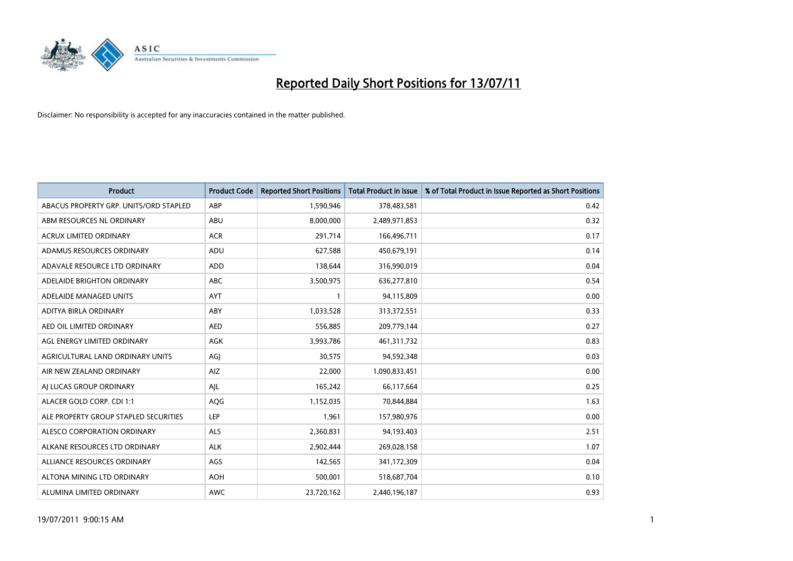

| <b>Product</b>                         | <b>Product Code</b> | <b>Reported Short Positions</b> | <b>Total Product in Issue</b> | % of Total Product in Issue Reported as Short Positions |
|----------------------------------------|---------------------|---------------------------------|-------------------------------|---------------------------------------------------------|
| ABACUS PROPERTY GRP. UNITS/ORD STAPLED | ABP                 | 1,590,946                       | 378,483,581                   | 0.42                                                    |
| ABM RESOURCES NL ORDINARY              | ABU                 | 8,000,000                       | 2,489,971,853                 | 0.32                                                    |
| ACRUX LIMITED ORDINARY                 | <b>ACR</b>          | 291,714                         | 166,496,711                   | 0.17                                                    |
| ADAMUS RESOURCES ORDINARY              | ADU                 | 627,588                         | 450,679,191                   | 0.14                                                    |
| ADAVALE RESOURCE LTD ORDINARY          | ADD                 | 138,644                         | 316,990,019                   | 0.04                                                    |
| ADELAIDE BRIGHTON ORDINARY             | <b>ABC</b>          | 3,500,975                       | 636,277,810                   | 0.54                                                    |
| ADELAIDE MANAGED UNITS                 | <b>AYT</b>          |                                 | 94,115,809                    | 0.00                                                    |
| ADITYA BIRLA ORDINARY                  | ABY                 | 1,033,528                       | 313,372,551                   | 0.33                                                    |
| AED OIL LIMITED ORDINARY               | <b>AED</b>          | 556,885                         | 209,779,144                   | 0.27                                                    |
| AGL ENERGY LIMITED ORDINARY            | <b>AGK</b>          | 3,993,786                       | 461,311,732                   | 0.83                                                    |
| AGRICULTURAL LAND ORDINARY UNITS       | AGI                 | 30,575                          | 94,592,348                    | 0.03                                                    |
| AIR NEW ZEALAND ORDINARY               | AIZ                 | 22,000                          | 1,090,833,451                 | 0.00                                                    |
| AI LUCAS GROUP ORDINARY                | AJL                 | 165,242                         | 66,117,664                    | 0.25                                                    |
| ALACER GOLD CORP. CDI 1:1              | AQG                 | 1,152,035                       | 70,844,884                    | 1.63                                                    |
| ALE PROPERTY GROUP STAPLED SECURITIES  | LEP                 | 1,961                           | 157,980,976                   | 0.00                                                    |
| ALESCO CORPORATION ORDINARY            | <b>ALS</b>          | 2,360,831                       | 94,193,403                    | 2.51                                                    |
| ALKANE RESOURCES LTD ORDINARY          | ALK                 | 2,902,444                       | 269,028,158                   | 1.07                                                    |
| ALLIANCE RESOURCES ORDINARY            | AGS                 | 142,565                         | 341,172,309                   | 0.04                                                    |
| ALTONA MINING LTD ORDINARY             | <b>AOH</b>          | 500,001                         | 518,687,704                   | 0.10                                                    |
| ALUMINA LIMITED ORDINARY               | <b>AWC</b>          | 23,720,162                      | 2,440,196,187                 | 0.93                                                    |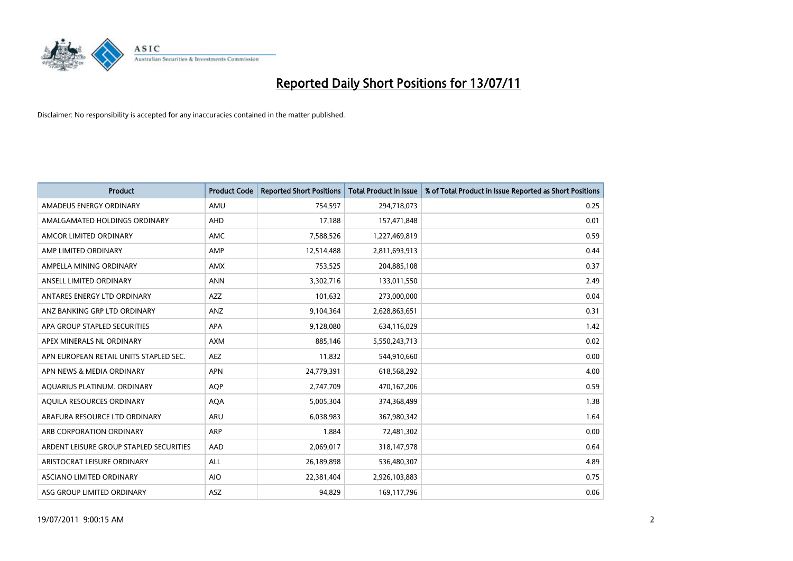

| <b>Product</b>                          | <b>Product Code</b> | <b>Reported Short Positions</b> | <b>Total Product in Issue</b> | % of Total Product in Issue Reported as Short Positions |
|-----------------------------------------|---------------------|---------------------------------|-------------------------------|---------------------------------------------------------|
| AMADEUS ENERGY ORDINARY                 | AMU                 | 754,597                         | 294,718,073                   | 0.25                                                    |
| AMALGAMATED HOLDINGS ORDINARY           | AHD                 | 17,188                          | 157,471,848                   | 0.01                                                    |
| AMCOR LIMITED ORDINARY                  | <b>AMC</b>          | 7,588,526                       | 1,227,469,819                 | 0.59                                                    |
| AMP LIMITED ORDINARY                    | AMP                 | 12,514,488                      | 2,811,693,913                 | 0.44                                                    |
| AMPELLA MINING ORDINARY                 | <b>AMX</b>          | 753,525                         | 204,885,108                   | 0.37                                                    |
| ANSELL LIMITED ORDINARY                 | <b>ANN</b>          | 3,302,716                       | 133,011,550                   | 2.49                                                    |
| ANTARES ENERGY LTD ORDINARY             | <b>AZZ</b>          | 101,632                         | 273,000,000                   | 0.04                                                    |
| ANZ BANKING GRP LTD ORDINARY            | ANZ                 | 9,104,364                       | 2,628,863,651                 | 0.31                                                    |
| APA GROUP STAPLED SECURITIES            | <b>APA</b>          | 9,128,080                       | 634,116,029                   | 1.42                                                    |
| APEX MINERALS NL ORDINARY               | <b>AXM</b>          | 885,146                         | 5,550,243,713                 | 0.02                                                    |
| APN EUROPEAN RETAIL UNITS STAPLED SEC.  | <b>AEZ</b>          | 11,832                          | 544,910,660                   | 0.00                                                    |
| APN NEWS & MEDIA ORDINARY               | <b>APN</b>          | 24,779,391                      | 618,568,292                   | 4.00                                                    |
| AQUARIUS PLATINUM. ORDINARY             | <b>AQP</b>          | 2,747,709                       | 470,167,206                   | 0.59                                                    |
| AQUILA RESOURCES ORDINARY               | <b>AQA</b>          | 5,005,304                       | 374,368,499                   | 1.38                                                    |
| ARAFURA RESOURCE LTD ORDINARY           | <b>ARU</b>          | 6,038,983                       | 367,980,342                   | 1.64                                                    |
| ARB CORPORATION ORDINARY                | ARP                 | 1,884                           | 72,481,302                    | 0.00                                                    |
| ARDENT LEISURE GROUP STAPLED SECURITIES | AAD                 | 2,069,017                       | 318,147,978                   | 0.64                                                    |
| ARISTOCRAT LEISURE ORDINARY             | <b>ALL</b>          | 26,189,898                      | 536,480,307                   | 4.89                                                    |
| ASCIANO LIMITED ORDINARY                | <b>AIO</b>          | 22,381,404                      | 2,926,103,883                 | 0.75                                                    |
| ASG GROUP LIMITED ORDINARY              | <b>ASZ</b>          | 94.829                          | 169,117,796                   | 0.06                                                    |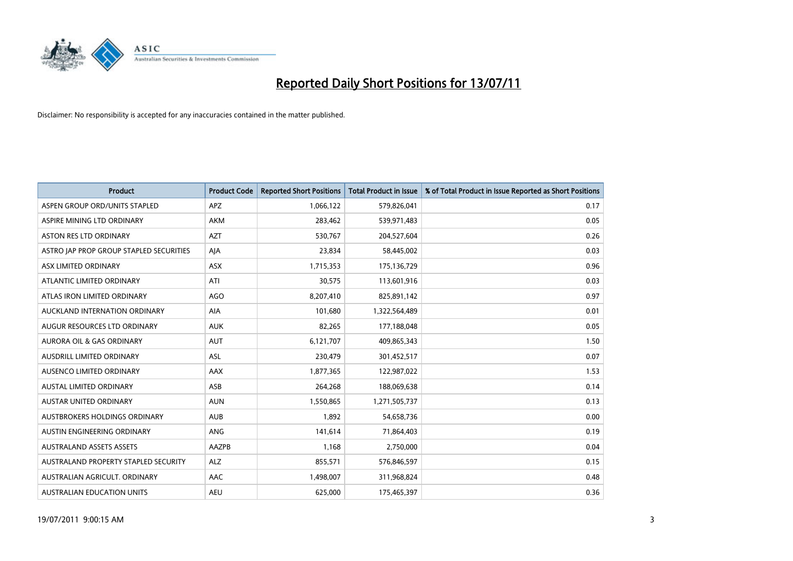

| <b>Product</b>                          | <b>Product Code</b> | <b>Reported Short Positions</b> | <b>Total Product in Issue</b> | % of Total Product in Issue Reported as Short Positions |
|-----------------------------------------|---------------------|---------------------------------|-------------------------------|---------------------------------------------------------|
| ASPEN GROUP ORD/UNITS STAPLED           | APZ                 | 1,066,122                       | 579,826,041                   | 0.17                                                    |
| ASPIRE MINING LTD ORDINARY              | <b>AKM</b>          | 283,462                         | 539,971,483                   | 0.05                                                    |
| <b>ASTON RES LTD ORDINARY</b>           | <b>AZT</b>          | 530,767                         | 204,527,604                   | 0.26                                                    |
| ASTRO JAP PROP GROUP STAPLED SECURITIES | AJA                 | 23,834                          | 58,445,002                    | 0.03                                                    |
| ASX LIMITED ORDINARY                    | <b>ASX</b>          | 1,715,353                       | 175,136,729                   | 0.96                                                    |
| ATLANTIC LIMITED ORDINARY               | ATI                 | 30,575                          | 113,601,916                   | 0.03                                                    |
| ATLAS IRON LIMITED ORDINARY             | AGO                 | 8,207,410                       | 825,891,142                   | 0.97                                                    |
| AUCKLAND INTERNATION ORDINARY           | <b>AIA</b>          | 101,680                         | 1,322,564,489                 | 0.01                                                    |
| AUGUR RESOURCES LTD ORDINARY            | <b>AUK</b>          | 82,265                          | 177,188,048                   | 0.05                                                    |
| <b>AURORA OIL &amp; GAS ORDINARY</b>    | <b>AUT</b>          | 6,121,707                       | 409,865,343                   | 1.50                                                    |
| AUSDRILL LIMITED ORDINARY               | <b>ASL</b>          | 230,479                         | 301,452,517                   | 0.07                                                    |
| AUSENCO LIMITED ORDINARY                | AAX                 | 1,877,365                       | 122,987,022                   | 1.53                                                    |
| <b>AUSTAL LIMITED ORDINARY</b>          | ASB                 | 264,268                         | 188,069,638                   | 0.14                                                    |
| <b>AUSTAR UNITED ORDINARY</b>           | <b>AUN</b>          | 1,550,865                       | 1,271,505,737                 | 0.13                                                    |
| AUSTBROKERS HOLDINGS ORDINARY           | <b>AUB</b>          | 1,892                           | 54,658,736                    | 0.00                                                    |
| AUSTIN ENGINEERING ORDINARY             | ANG                 | 141,614                         | 71,864,403                    | 0.19                                                    |
| <b>AUSTRALAND ASSETS ASSETS</b>         | AAZPB               | 1,168                           | 2,750,000                     | 0.04                                                    |
| AUSTRALAND PROPERTY STAPLED SECURITY    | <b>ALZ</b>          | 855,571                         | 576,846,597                   | 0.15                                                    |
| AUSTRALIAN AGRICULT, ORDINARY           | AAC                 | 1,498,007                       | 311,968,824                   | 0.48                                                    |
| AUSTRALIAN EDUCATION UNITS              | <b>AEU</b>          | 625.000                         | 175,465,397                   | 0.36                                                    |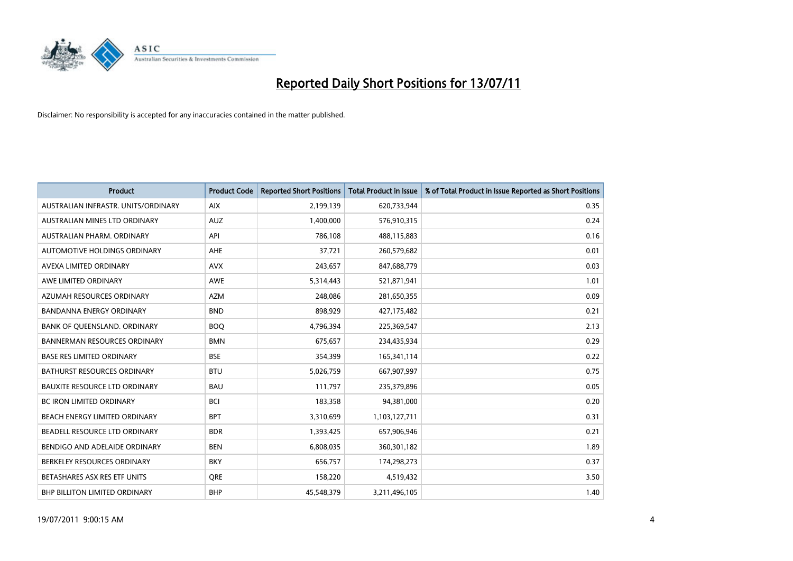

| <b>Product</b>                       | <b>Product Code</b> | <b>Reported Short Positions</b> | <b>Total Product in Issue</b> | % of Total Product in Issue Reported as Short Positions |
|--------------------------------------|---------------------|---------------------------------|-------------------------------|---------------------------------------------------------|
| AUSTRALIAN INFRASTR, UNITS/ORDINARY  | <b>AIX</b>          | 2,199,139                       | 620,733,944                   | 0.35                                                    |
| AUSTRALIAN MINES LTD ORDINARY        | <b>AUZ</b>          | 1,400,000                       | 576,910,315                   | 0.24                                                    |
| AUSTRALIAN PHARM, ORDINARY           | API                 | 786,108                         | 488,115,883                   | 0.16                                                    |
| AUTOMOTIVE HOLDINGS ORDINARY         | <b>AHE</b>          | 37,721                          | 260,579,682                   | 0.01                                                    |
| AVEXA LIMITED ORDINARY               | <b>AVX</b>          | 243,657                         | 847,688,779                   | 0.03                                                    |
| AWE LIMITED ORDINARY                 | <b>AWE</b>          | 5,314,443                       | 521,871,941                   | 1.01                                                    |
| AZUMAH RESOURCES ORDINARY            | <b>AZM</b>          | 248.086                         | 281,650,355                   | 0.09                                                    |
| <b>BANDANNA ENERGY ORDINARY</b>      | <b>BND</b>          | 898,929                         | 427,175,482                   | 0.21                                                    |
| BANK OF QUEENSLAND. ORDINARY         | <b>BOO</b>          | 4,796,394                       | 225,369,547                   | 2.13                                                    |
| <b>BANNERMAN RESOURCES ORDINARY</b>  | <b>BMN</b>          | 675,657                         | 234,435,934                   | 0.29                                                    |
| <b>BASE RES LIMITED ORDINARY</b>     | <b>BSE</b>          | 354,399                         | 165,341,114                   | 0.22                                                    |
| <b>BATHURST RESOURCES ORDINARY</b>   | <b>BTU</b>          | 5,026,759                       | 667,907,997                   | 0.75                                                    |
| <b>BAUXITE RESOURCE LTD ORDINARY</b> | <b>BAU</b>          | 111,797                         | 235,379,896                   | 0.05                                                    |
| <b>BC IRON LIMITED ORDINARY</b>      | <b>BCI</b>          | 183,358                         | 94,381,000                    | 0.20                                                    |
| BEACH ENERGY LIMITED ORDINARY        | <b>BPT</b>          | 3,310,699                       | 1,103,127,711                 | 0.31                                                    |
| BEADELL RESOURCE LTD ORDINARY        | <b>BDR</b>          | 1,393,425                       | 657,906,946                   | 0.21                                                    |
| BENDIGO AND ADELAIDE ORDINARY        | <b>BEN</b>          | 6,808,035                       | 360,301,182                   | 1.89                                                    |
| BERKELEY RESOURCES ORDINARY          | <b>BKY</b>          | 656,757                         | 174,298,273                   | 0.37                                                    |
| BETASHARES ASX RES ETF UNITS         | <b>ORE</b>          | 158,220                         | 4,519,432                     | 3.50                                                    |
| <b>BHP BILLITON LIMITED ORDINARY</b> | <b>BHP</b>          | 45,548,379                      | 3,211,496,105                 | 1.40                                                    |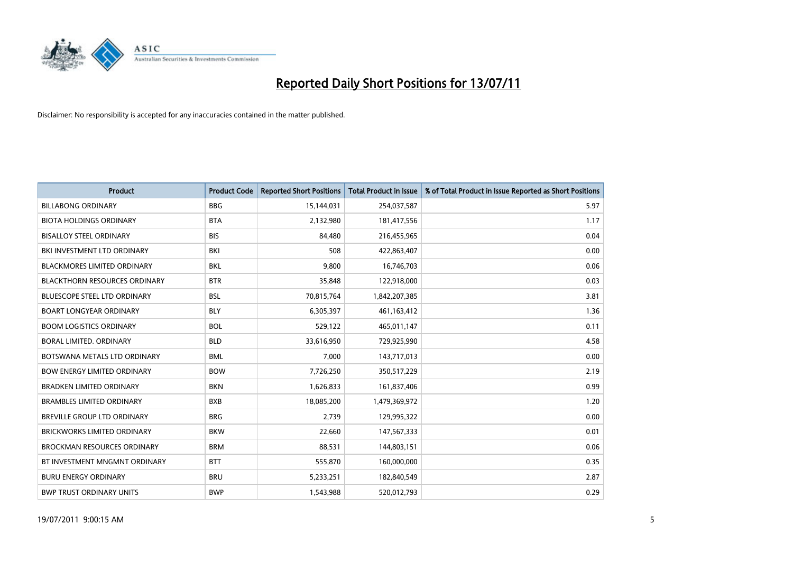

| <b>Product</b>                       | <b>Product Code</b> | <b>Reported Short Positions</b> | <b>Total Product in Issue</b> | % of Total Product in Issue Reported as Short Positions |
|--------------------------------------|---------------------|---------------------------------|-------------------------------|---------------------------------------------------------|
| <b>BILLABONG ORDINARY</b>            | <b>BBG</b>          | 15,144,031                      | 254,037,587                   | 5.97                                                    |
| <b>BIOTA HOLDINGS ORDINARY</b>       | <b>BTA</b>          | 2,132,980                       | 181,417,556                   | 1.17                                                    |
| <b>BISALLOY STEEL ORDINARY</b>       | <b>BIS</b>          | 84,480                          | 216,455,965                   | 0.04                                                    |
| BKI INVESTMENT LTD ORDINARY          | <b>BKI</b>          | 508                             | 422,863,407                   | 0.00                                                    |
| <b>BLACKMORES LIMITED ORDINARY</b>   | <b>BKL</b>          | 9,800                           | 16,746,703                    | 0.06                                                    |
| <b>BLACKTHORN RESOURCES ORDINARY</b> | <b>BTR</b>          | 35,848                          | 122,918,000                   | 0.03                                                    |
| <b>BLUESCOPE STEEL LTD ORDINARY</b>  | <b>BSL</b>          | 70,815,764                      | 1,842,207,385                 | 3.81                                                    |
| <b>BOART LONGYEAR ORDINARY</b>       | <b>BLY</b>          | 6,305,397                       | 461,163,412                   | 1.36                                                    |
| <b>BOOM LOGISTICS ORDINARY</b>       | <b>BOL</b>          | 529,122                         | 465,011,147                   | 0.11                                                    |
| <b>BORAL LIMITED, ORDINARY</b>       | <b>BLD</b>          | 33,616,950                      | 729,925,990                   | 4.58                                                    |
| BOTSWANA METALS LTD ORDINARY         | <b>BML</b>          | 7,000                           | 143,717,013                   | 0.00                                                    |
| <b>BOW ENERGY LIMITED ORDINARY</b>   | <b>BOW</b>          | 7,726,250                       | 350,517,229                   | 2.19                                                    |
| <b>BRADKEN LIMITED ORDINARY</b>      | <b>BKN</b>          | 1,626,833                       | 161,837,406                   | 0.99                                                    |
| <b>BRAMBLES LIMITED ORDINARY</b>     | <b>BXB</b>          | 18,085,200                      | 1,479,369,972                 | 1.20                                                    |
| BREVILLE GROUP LTD ORDINARY          | <b>BRG</b>          | 2,739                           | 129,995,322                   | 0.00                                                    |
| BRICKWORKS LIMITED ORDINARY          | <b>BKW</b>          | 22,660                          | 147,567,333                   | 0.01                                                    |
| <b>BROCKMAN RESOURCES ORDINARY</b>   | <b>BRM</b>          | 88,531                          | 144,803,151                   | 0.06                                                    |
| BT INVESTMENT MNGMNT ORDINARY        | <b>BTT</b>          | 555,870                         | 160,000,000                   | 0.35                                                    |
| <b>BURU ENERGY ORDINARY</b>          | <b>BRU</b>          | 5,233,251                       | 182,840,549                   | 2.87                                                    |
| <b>BWP TRUST ORDINARY UNITS</b>      | <b>BWP</b>          | 1,543,988                       | 520,012,793                   | 0.29                                                    |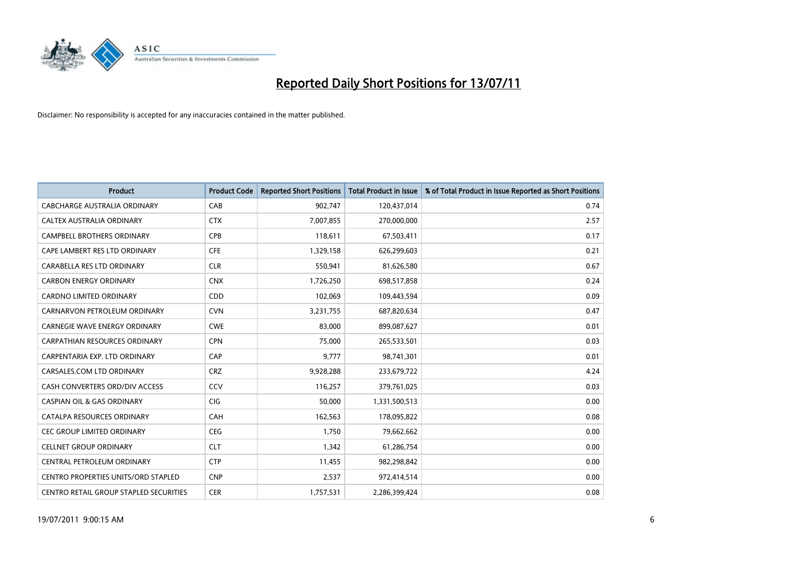

| <b>Product</b>                             | <b>Product Code</b> | <b>Reported Short Positions</b> | Total Product in Issue | % of Total Product in Issue Reported as Short Positions |
|--------------------------------------------|---------------------|---------------------------------|------------------------|---------------------------------------------------------|
| <b>CABCHARGE AUSTRALIA ORDINARY</b>        | CAB                 | 902,747                         | 120,437,014            | 0.74                                                    |
| <b>CALTEX AUSTRALIA ORDINARY</b>           | <b>CTX</b>          | 7,007,855                       | 270,000,000            | 2.57                                                    |
| <b>CAMPBELL BROTHERS ORDINARY</b>          | <b>CPB</b>          | 118,611                         | 67,503,411             | 0.17                                                    |
| CAPE LAMBERT RES LTD ORDINARY              | <b>CFE</b>          | 1,329,158                       | 626,299,603            | 0.21                                                    |
| CARABELLA RES LTD ORDINARY                 | <b>CLR</b>          | 550.941                         | 81,626,580             | 0.67                                                    |
| <b>CARBON ENERGY ORDINARY</b>              | <b>CNX</b>          | 1,726,250                       | 698,517,858            | 0.24                                                    |
| <b>CARDNO LIMITED ORDINARY</b>             | CDD                 | 102.069                         | 109,443,594            | 0.09                                                    |
| CARNARVON PETROLEUM ORDINARY               | <b>CVN</b>          | 3,231,755                       | 687,820,634            | 0.47                                                    |
| CARNEGIE WAVE ENERGY ORDINARY              | <b>CWE</b>          | 83,000                          | 899,087,627            | 0.01                                                    |
| <b>CARPATHIAN RESOURCES ORDINARY</b>       | <b>CPN</b>          | 75.000                          | 265,533,501            | 0.03                                                    |
| CARPENTARIA EXP. LTD ORDINARY              | CAP                 | 9,777                           | 98,741,301             | 0.01                                                    |
| CARSALES.COM LTD ORDINARY                  | <b>CRZ</b>          | 9,928,288                       | 233,679,722            | 4.24                                                    |
| CASH CONVERTERS ORD/DIV ACCESS             | CCV                 | 116.257                         | 379,761,025            | 0.03                                                    |
| <b>CASPIAN OIL &amp; GAS ORDINARY</b>      | CIG                 | 50.000                          | 1,331,500,513          | 0.00                                                    |
| CATALPA RESOURCES ORDINARY                 | <b>CAH</b>          | 162,563                         | 178,095,822            | 0.08                                                    |
| <b>CEC GROUP LIMITED ORDINARY</b>          | <b>CEG</b>          | 1,750                           | 79,662,662             | 0.00                                                    |
| <b>CELLNET GROUP ORDINARY</b>              | <b>CLT</b>          | 1,342                           | 61,286,754             | 0.00                                                    |
| CENTRAL PETROLEUM ORDINARY                 | <b>CTP</b>          | 11,455                          | 982,298,842            | 0.00                                                    |
| <b>CENTRO PROPERTIES UNITS/ORD STAPLED</b> | <b>CNP</b>          | 2,537                           | 972,414,514            | 0.00                                                    |
| CENTRO RETAIL GROUP STAPLED SECURITIES     | <b>CER</b>          | 1,757,531                       | 2,286,399,424          | 0.08                                                    |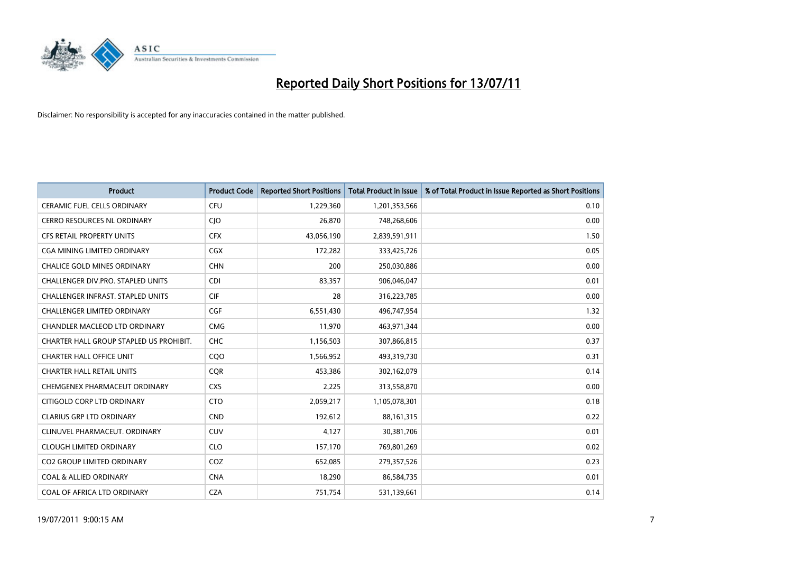

| <b>Product</b>                           | <b>Product Code</b> | <b>Reported Short Positions</b> | <b>Total Product in Issue</b> | % of Total Product in Issue Reported as Short Positions |
|------------------------------------------|---------------------|---------------------------------|-------------------------------|---------------------------------------------------------|
| <b>CERAMIC FUEL CELLS ORDINARY</b>       | CFU                 | 1,229,360                       | 1,201,353,566                 | 0.10                                                    |
| CERRO RESOURCES NL ORDINARY              | <b>CIO</b>          | 26,870                          | 748,268,606                   | 0.00                                                    |
| <b>CFS RETAIL PROPERTY UNITS</b>         | <b>CFX</b>          | 43,056,190                      | 2,839,591,911                 | 1.50                                                    |
| <b>CGA MINING LIMITED ORDINARY</b>       | <b>CGX</b>          | 172,282                         | 333,425,726                   | 0.05                                                    |
| <b>CHALICE GOLD MINES ORDINARY</b>       | <b>CHN</b>          | 200                             | 250,030,886                   | 0.00                                                    |
| CHALLENGER DIV.PRO. STAPLED UNITS        | CDI                 | 83,357                          | 906,046,047                   | 0.01                                                    |
| <b>CHALLENGER INFRAST, STAPLED UNITS</b> | <b>CIF</b>          | 28                              | 316,223,785                   | 0.00                                                    |
| CHALLENGER LIMITED ORDINARY              | CGF                 | 6,551,430                       | 496,747,954                   | 1.32                                                    |
| CHANDLER MACLEOD LTD ORDINARY            | <b>CMG</b>          | 11,970                          | 463,971,344                   | 0.00                                                    |
| CHARTER HALL GROUP STAPLED US PROHIBIT.  | <b>CHC</b>          | 1,156,503                       | 307,866,815                   | 0.37                                                    |
| <b>CHARTER HALL OFFICE UNIT</b>          | C <sub>O</sub> O    | 1,566,952                       | 493,319,730                   | 0.31                                                    |
| <b>CHARTER HALL RETAIL UNITS</b>         | <b>COR</b>          | 453,386                         | 302,162,079                   | 0.14                                                    |
| CHEMGENEX PHARMACEUT ORDINARY            | <b>CXS</b>          | 2,225                           | 313,558,870                   | 0.00                                                    |
| CITIGOLD CORP LTD ORDINARY               | <b>CTO</b>          | 2,059,217                       | 1,105,078,301                 | 0.18                                                    |
| <b>CLARIUS GRP LTD ORDINARY</b>          | <b>CND</b>          | 192,612                         | 88,161,315                    | 0.22                                                    |
| CLINUVEL PHARMACEUT, ORDINARY            | <b>CUV</b>          | 4,127                           | 30,381,706                    | 0.01                                                    |
| <b>CLOUGH LIMITED ORDINARY</b>           | <b>CLO</b>          | 157,170                         | 769,801,269                   | 0.02                                                    |
| CO2 GROUP LIMITED ORDINARY               | COZ                 | 652,085                         | 279,357,526                   | 0.23                                                    |
| <b>COAL &amp; ALLIED ORDINARY</b>        | <b>CNA</b>          | 18,290                          | 86,584,735                    | 0.01                                                    |
| COAL OF AFRICA LTD ORDINARY              | <b>CZA</b>          | 751,754                         | 531,139,661                   | 0.14                                                    |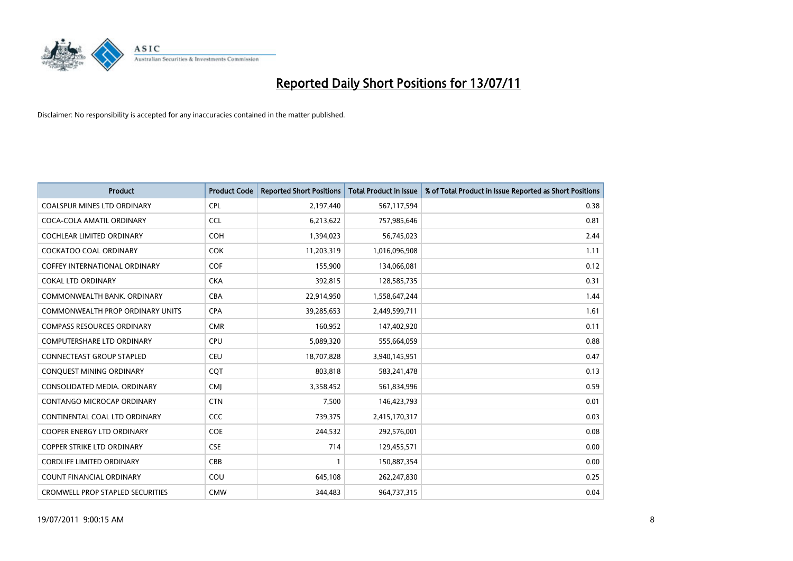

| <b>Product</b>                          | <b>Product Code</b> | <b>Reported Short Positions</b> | Total Product in Issue | % of Total Product in Issue Reported as Short Positions |
|-----------------------------------------|---------------------|---------------------------------|------------------------|---------------------------------------------------------|
| <b>COALSPUR MINES LTD ORDINARY</b>      | <b>CPL</b>          | 2,197,440                       | 567,117,594            | 0.38                                                    |
| COCA-COLA AMATIL ORDINARY               | <b>CCL</b>          | 6,213,622                       | 757,985,646            | 0.81                                                    |
| <b>COCHLEAR LIMITED ORDINARY</b>        | <b>COH</b>          | 1,394,023                       | 56,745,023             | 2.44                                                    |
| COCKATOO COAL ORDINARY                  | <b>COK</b>          | 11,203,319                      | 1,016,096,908          | 1.11                                                    |
| <b>COFFEY INTERNATIONAL ORDINARY</b>    | <b>COF</b>          | 155,900                         | 134,066,081            | 0.12                                                    |
| <b>COKAL LTD ORDINARY</b>               | <b>CKA</b>          | 392,815                         | 128,585,735            | 0.31                                                    |
| COMMONWEALTH BANK, ORDINARY             | <b>CBA</b>          | 22,914,950                      | 1,558,647,244          | 1.44                                                    |
| <b>COMMONWEALTH PROP ORDINARY UNITS</b> | <b>CPA</b>          | 39,285,653                      | 2,449,599,711          | 1.61                                                    |
| <b>COMPASS RESOURCES ORDINARY</b>       | <b>CMR</b>          | 160,952                         | 147,402,920            | 0.11                                                    |
| <b>COMPUTERSHARE LTD ORDINARY</b>       | <b>CPU</b>          | 5,089,320                       | 555,664,059            | 0.88                                                    |
| <b>CONNECTEAST GROUP STAPLED</b>        | CEU                 | 18,707,828                      | 3,940,145,951          | 0.47                                                    |
| CONQUEST MINING ORDINARY                | CQT                 | 803,818                         | 583,241,478            | 0.13                                                    |
| CONSOLIDATED MEDIA, ORDINARY            | <b>CMI</b>          | 3,358,452                       | 561,834,996            | 0.59                                                    |
| CONTANGO MICROCAP ORDINARY              | <b>CTN</b>          | 7,500                           | 146,423,793            | 0.01                                                    |
| CONTINENTAL COAL LTD ORDINARY           | <b>CCC</b>          | 739,375                         | 2,415,170,317          | 0.03                                                    |
| <b>COOPER ENERGY LTD ORDINARY</b>       | <b>COE</b>          | 244,532                         | 292,576,001            | 0.08                                                    |
| <b>COPPER STRIKE LTD ORDINARY</b>       | <b>CSE</b>          | 714                             | 129,455,571            | 0.00                                                    |
| CORDLIFE LIMITED ORDINARY               | CBB                 |                                 | 150,887,354            | 0.00                                                    |
| <b>COUNT FINANCIAL ORDINARY</b>         | COU                 | 645,108                         | 262,247,830            | 0.25                                                    |
| <b>CROMWELL PROP STAPLED SECURITIES</b> | <b>CMW</b>          | 344.483                         | 964,737,315            | 0.04                                                    |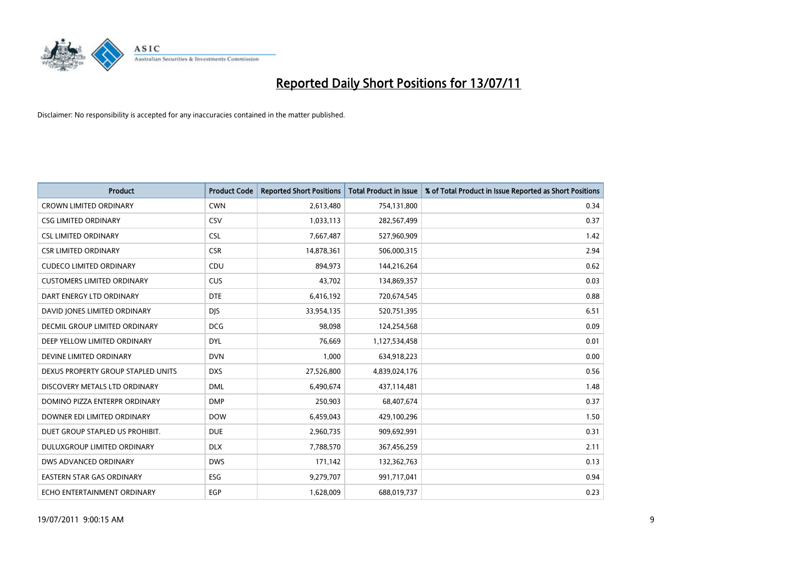

| <b>Product</b>                     | <b>Product Code</b> | <b>Reported Short Positions</b> | <b>Total Product in Issue</b> | % of Total Product in Issue Reported as Short Positions |
|------------------------------------|---------------------|---------------------------------|-------------------------------|---------------------------------------------------------|
| <b>CROWN LIMITED ORDINARY</b>      | <b>CWN</b>          | 2,613,480                       | 754,131,800                   | 0.34                                                    |
| <b>CSG LIMITED ORDINARY</b>        | CSV                 | 1,033,113                       | 282,567,499                   | 0.37                                                    |
| <b>CSL LIMITED ORDINARY</b>        | <b>CSL</b>          | 7,667,487                       | 527,960,909                   | 1.42                                                    |
| <b>CSR LIMITED ORDINARY</b>        | <b>CSR</b>          | 14,878,361                      | 506,000,315                   | 2.94                                                    |
| <b>CUDECO LIMITED ORDINARY</b>     | CDU                 | 894,973                         | 144,216,264                   | 0.62                                                    |
| <b>CUSTOMERS LIMITED ORDINARY</b>  | CUS                 | 43.702                          | 134,869,357                   | 0.03                                                    |
| DART ENERGY LTD ORDINARY           | <b>DTE</b>          | 6,416,192                       | 720,674,545                   | 0.88                                                    |
| DAVID JONES LIMITED ORDINARY       | <b>DJS</b>          | 33,954,135                      | 520,751,395                   | 6.51                                                    |
| DECMIL GROUP LIMITED ORDINARY      | <b>DCG</b>          | 98,098                          | 124,254,568                   | 0.09                                                    |
| DEEP YELLOW LIMITED ORDINARY       | <b>DYL</b>          | 76,669                          | 1,127,534,458                 | 0.01                                                    |
| DEVINE LIMITED ORDINARY            | <b>DVN</b>          | 1,000                           | 634,918,223                   | 0.00                                                    |
| DEXUS PROPERTY GROUP STAPLED UNITS | <b>DXS</b>          | 27,526,800                      | 4,839,024,176                 | 0.56                                                    |
| DISCOVERY METALS LTD ORDINARY      | <b>DML</b>          | 6,490,674                       | 437,114,481                   | 1.48                                                    |
| DOMINO PIZZA ENTERPR ORDINARY      | <b>DMP</b>          | 250,903                         | 68,407,674                    | 0.37                                                    |
| DOWNER EDI LIMITED ORDINARY        | <b>DOW</b>          | 6,459,043                       | 429,100,296                   | 1.50                                                    |
| DUET GROUP STAPLED US PROHIBIT.    | <b>DUE</b>          | 2,960,735                       | 909,692,991                   | 0.31                                                    |
| DULUXGROUP LIMITED ORDINARY        | <b>DLX</b>          | 7,788,570                       | 367,456,259                   | 2.11                                                    |
| DWS ADVANCED ORDINARY              | <b>DWS</b>          | 171,142                         | 132,362,763                   | 0.13                                                    |
| <b>EASTERN STAR GAS ORDINARY</b>   | ESG                 | 9,279,707                       | 991,717,041                   | 0.94                                                    |
| ECHO ENTERTAINMENT ORDINARY        | EGP                 | 1,628,009                       | 688,019,737                   | 0.23                                                    |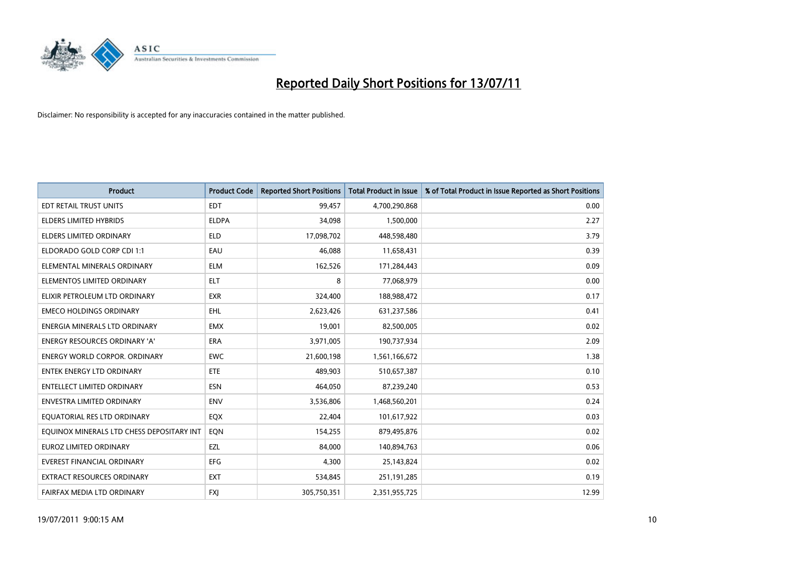

| <b>Product</b>                            | <b>Product Code</b> | <b>Reported Short Positions</b> | <b>Total Product in Issue</b> | % of Total Product in Issue Reported as Short Positions |
|-------------------------------------------|---------------------|---------------------------------|-------------------------------|---------------------------------------------------------|
| <b>EDT RETAIL TRUST UNITS</b>             | <b>EDT</b>          | 99,457                          | 4,700,290,868                 | 0.00                                                    |
| ELDERS LIMITED HYBRIDS                    | <b>ELDPA</b>        | 34,098                          | 1,500,000                     | 2.27                                                    |
| <b>ELDERS LIMITED ORDINARY</b>            | <b>ELD</b>          | 17,098,702                      | 448,598,480                   | 3.79                                                    |
| ELDORADO GOLD CORP CDI 1:1                | EAU                 | 46,088                          | 11,658,431                    | 0.39                                                    |
| ELEMENTAL MINERALS ORDINARY               | <b>ELM</b>          | 162,526                         | 171,284,443                   | 0.09                                                    |
| ELEMENTOS LIMITED ORDINARY                | <b>ELT</b>          | 8                               | 77,068,979                    | 0.00                                                    |
| ELIXIR PETROLEUM LTD ORDINARY             | <b>EXR</b>          | 324,400                         | 188,988,472                   | 0.17                                                    |
| <b>EMECO HOLDINGS ORDINARY</b>            | <b>EHL</b>          | 2,623,426                       | 631,237,586                   | 0.41                                                    |
| ENERGIA MINERALS LTD ORDINARY             | <b>EMX</b>          | 19,001                          | 82,500,005                    | 0.02                                                    |
| <b>ENERGY RESOURCES ORDINARY 'A'</b>      | <b>ERA</b>          | 3,971,005                       | 190,737,934                   | 2.09                                                    |
| <b>ENERGY WORLD CORPOR. ORDINARY</b>      | <b>EWC</b>          | 21,600,198                      | 1,561,166,672                 | 1.38                                                    |
| <b>ENTEK ENERGY LTD ORDINARY</b>          | <b>ETE</b>          | 489,903                         | 510,657,387                   | 0.10                                                    |
| <b>ENTELLECT LIMITED ORDINARY</b>         | <b>ESN</b>          | 464,050                         | 87,239,240                    | 0.53                                                    |
| <b>ENVESTRA LIMITED ORDINARY</b>          | <b>ENV</b>          | 3,536,806                       | 1,468,560,201                 | 0.24                                                    |
| EQUATORIAL RES LTD ORDINARY               | EQX                 | 22,404                          | 101,617,922                   | 0.03                                                    |
| EQUINOX MINERALS LTD CHESS DEPOSITARY INT | EON                 | 154,255                         | 879,495,876                   | 0.02                                                    |
| EUROZ LIMITED ORDINARY                    | EZL                 | 84,000                          | 140,894,763                   | 0.06                                                    |
| <b>EVEREST FINANCIAL ORDINARY</b>         | <b>EFG</b>          | 4,300                           | 25,143,824                    | 0.02                                                    |
| EXTRACT RESOURCES ORDINARY                | <b>EXT</b>          | 534,845                         | 251,191,285                   | 0.19                                                    |
| FAIRFAX MEDIA LTD ORDINARY                | <b>FXJ</b>          | 305,750,351                     | 2,351,955,725                 | 12.99                                                   |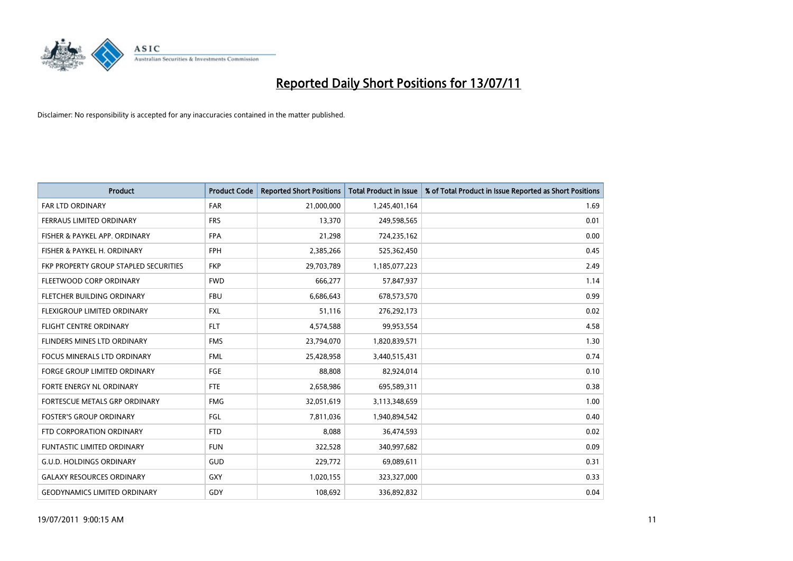

| <b>Product</b>                        | <b>Product Code</b> | <b>Reported Short Positions</b> | Total Product in Issue | % of Total Product in Issue Reported as Short Positions |
|---------------------------------------|---------------------|---------------------------------|------------------------|---------------------------------------------------------|
| <b>FAR LTD ORDINARY</b>               | <b>FAR</b>          | 21,000,000                      | 1,245,401,164          | 1.69                                                    |
| FERRAUS LIMITED ORDINARY              | <b>FRS</b>          | 13,370                          | 249,598,565            | 0.01                                                    |
| FISHER & PAYKEL APP. ORDINARY         | <b>FPA</b>          | 21,298                          | 724,235,162            | 0.00                                                    |
| FISHER & PAYKEL H. ORDINARY           | <b>FPH</b>          | 2,385,266                       | 525,362,450            | 0.45                                                    |
| FKP PROPERTY GROUP STAPLED SECURITIES | <b>FKP</b>          | 29,703,789                      | 1,185,077,223          | 2.49                                                    |
| FLEETWOOD CORP ORDINARY               | <b>FWD</b>          | 666,277                         | 57,847,937             | 1.14                                                    |
| FLETCHER BUILDING ORDINARY            | <b>FBU</b>          | 6,686,643                       | 678,573,570            | 0.99                                                    |
| FLEXIGROUP LIMITED ORDINARY           | <b>FXL</b>          | 51,116                          | 276,292,173            | 0.02                                                    |
| <b>FLIGHT CENTRE ORDINARY</b>         | <b>FLT</b>          | 4,574,588                       | 99,953,554             | 4.58                                                    |
| FLINDERS MINES LTD ORDINARY           | <b>FMS</b>          | 23,794,070                      | 1,820,839,571          | 1.30                                                    |
| <b>FOCUS MINERALS LTD ORDINARY</b>    | <b>FML</b>          | 25,428,958                      | 3,440,515,431          | 0.74                                                    |
| <b>FORGE GROUP LIMITED ORDINARY</b>   | <b>FGE</b>          | 88,808                          | 82,924,014             | 0.10                                                    |
| FORTE ENERGY NL ORDINARY              | <b>FTE</b>          | 2,658,986                       | 695,589,311            | 0.38                                                    |
| FORTESCUE METALS GRP ORDINARY         | <b>FMG</b>          | 32,051,619                      | 3,113,348,659          | 1.00                                                    |
| <b>FOSTER'S GROUP ORDINARY</b>        | <b>FGL</b>          | 7,811,036                       | 1,940,894,542          | 0.40                                                    |
| FTD CORPORATION ORDINARY              | <b>FTD</b>          | 8,088                           | 36,474,593             | 0.02                                                    |
| <b>FUNTASTIC LIMITED ORDINARY</b>     | <b>FUN</b>          | 322,528                         | 340,997,682            | 0.09                                                    |
| <b>G.U.D. HOLDINGS ORDINARY</b>       | <b>GUD</b>          | 229,772                         | 69,089,611             | 0.31                                                    |
| <b>GALAXY RESOURCES ORDINARY</b>      | <b>GXY</b>          | 1,020,155                       | 323,327,000            | 0.33                                                    |
| <b>GEODYNAMICS LIMITED ORDINARY</b>   | GDY                 | 108.692                         | 336,892,832            | 0.04                                                    |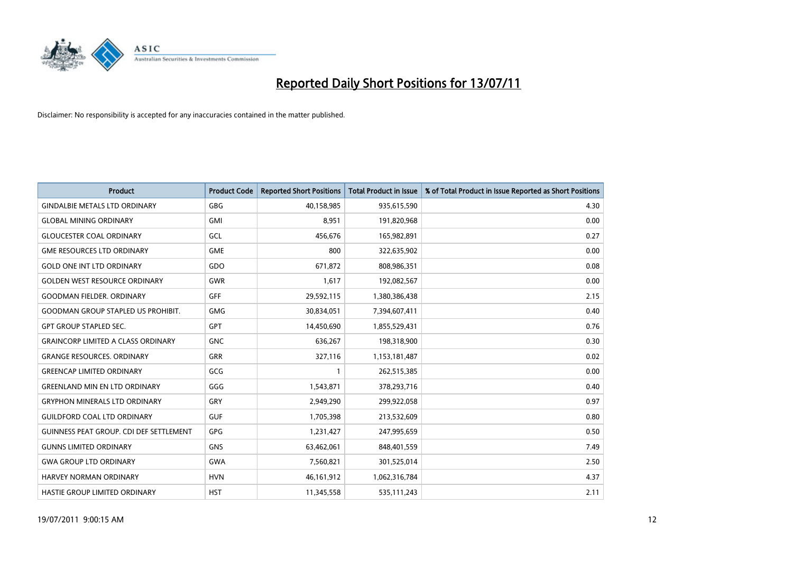

| <b>Product</b>                                 | <b>Product Code</b> | <b>Reported Short Positions</b> | Total Product in Issue | % of Total Product in Issue Reported as Short Positions |
|------------------------------------------------|---------------------|---------------------------------|------------------------|---------------------------------------------------------|
| <b>GINDALBIE METALS LTD ORDINARY</b>           | <b>GBG</b>          | 40,158,985                      | 935,615,590            | 4.30                                                    |
| <b>GLOBAL MINING ORDINARY</b>                  | <b>GMI</b>          | 8,951                           | 191,820,968            | 0.00                                                    |
| <b>GLOUCESTER COAL ORDINARY</b>                | GCL                 | 456,676                         | 165,982,891            | 0.27                                                    |
| <b>GME RESOURCES LTD ORDINARY</b>              | <b>GME</b>          | 800                             | 322,635,902            | 0.00                                                    |
| <b>GOLD ONE INT LTD ORDINARY</b>               | GDO                 | 671,872                         | 808,986,351            | 0.08                                                    |
| <b>GOLDEN WEST RESOURCE ORDINARY</b>           | <b>GWR</b>          | 1,617                           | 192,082,567            | 0.00                                                    |
| <b>GOODMAN FIELDER, ORDINARY</b>               | <b>GFF</b>          | 29,592,115                      | 1,380,386,438          | 2.15                                                    |
| <b>GOODMAN GROUP STAPLED US PROHIBIT.</b>      | <b>GMG</b>          | 30,834,051                      | 7,394,607,411          | 0.40                                                    |
| <b>GPT GROUP STAPLED SEC.</b>                  | <b>GPT</b>          | 14,450,690                      | 1,855,529,431          | 0.76                                                    |
| <b>GRAINCORP LIMITED A CLASS ORDINARY</b>      | <b>GNC</b>          | 636,267                         | 198,318,900            | 0.30                                                    |
| <b>GRANGE RESOURCES. ORDINARY</b>              | <b>GRR</b>          | 327,116                         | 1,153,181,487          | 0.02                                                    |
| <b>GREENCAP LIMITED ORDINARY</b>               | GCG                 |                                 | 262,515,385            | 0.00                                                    |
| <b>GREENLAND MIN EN LTD ORDINARY</b>           | GGG                 | 1,543,871                       | 378,293,716            | 0.40                                                    |
| <b>GRYPHON MINERALS LTD ORDINARY</b>           | GRY                 | 2,949,290                       | 299,922,058            | 0.97                                                    |
| <b>GUILDFORD COAL LTD ORDINARY</b>             | <b>GUF</b>          | 1,705,398                       | 213,532,609            | 0.80                                                    |
| <b>GUINNESS PEAT GROUP. CDI DEF SETTLEMENT</b> | GPG                 | 1,231,427                       | 247,995,659            | 0.50                                                    |
| <b>GUNNS LIMITED ORDINARY</b>                  | <b>GNS</b>          | 63,462,061                      | 848,401,559            | 7.49                                                    |
| <b>GWA GROUP LTD ORDINARY</b>                  | <b>GWA</b>          | 7,560,821                       | 301,525,014            | 2.50                                                    |
| <b>HARVEY NORMAN ORDINARY</b>                  | <b>HVN</b>          | 46, 161, 912                    | 1,062,316,784          | 4.37                                                    |
| HASTIE GROUP LIMITED ORDINARY                  | <b>HST</b>          | 11,345,558                      | 535,111,243            | 2.11                                                    |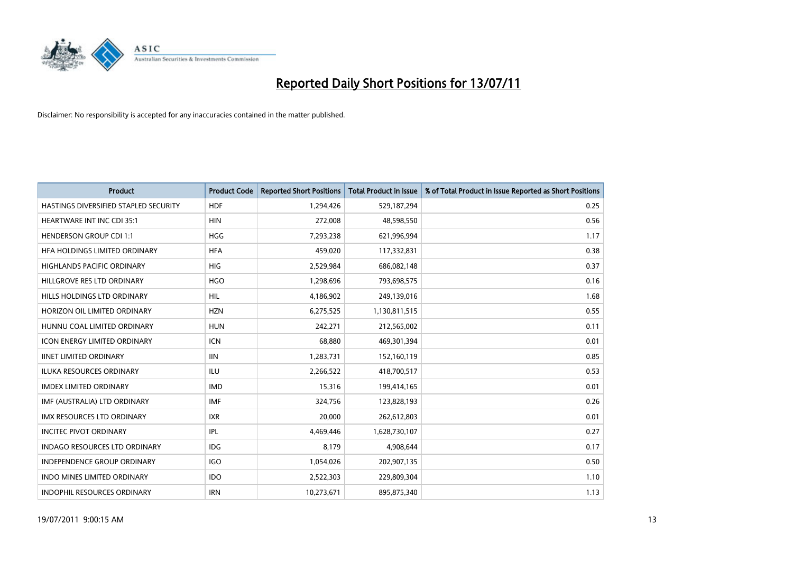

| <b>Product</b>                        | <b>Product Code</b> | <b>Reported Short Positions</b> | Total Product in Issue | % of Total Product in Issue Reported as Short Positions |
|---------------------------------------|---------------------|---------------------------------|------------------------|---------------------------------------------------------|
| HASTINGS DIVERSIFIED STAPLED SECURITY | <b>HDF</b>          | 1,294,426                       | 529,187,294            | 0.25                                                    |
| <b>HEARTWARE INT INC CDI 35:1</b>     | <b>HIN</b>          | 272,008                         | 48,598,550             | 0.56                                                    |
| <b>HENDERSON GROUP CDI 1:1</b>        | <b>HGG</b>          | 7,293,238                       | 621,996,994            | 1.17                                                    |
| HFA HOLDINGS LIMITED ORDINARY         | <b>HFA</b>          | 459,020                         | 117,332,831            | 0.38                                                    |
| <b>HIGHLANDS PACIFIC ORDINARY</b>     | <b>HIG</b>          | 2,529,984                       | 686,082,148            | 0.37                                                    |
| HILLGROVE RES LTD ORDINARY            | <b>HGO</b>          | 1,298,696                       | 793,698,575            | 0.16                                                    |
| HILLS HOLDINGS LTD ORDINARY           | <b>HIL</b>          | 4,186,902                       | 249,139,016            | 1.68                                                    |
| HORIZON OIL LIMITED ORDINARY          | <b>HZN</b>          | 6,275,525                       | 1,130,811,515          | 0.55                                                    |
| HUNNU COAL LIMITED ORDINARY           | <b>HUN</b>          | 242,271                         | 212,565,002            | 0.11                                                    |
| <b>ICON ENERGY LIMITED ORDINARY</b>   | <b>ICN</b>          | 68,880                          | 469,301,394            | 0.01                                                    |
| <b>IINET LIMITED ORDINARY</b>         | <b>IIN</b>          | 1,283,731                       | 152,160,119            | 0.85                                                    |
| <b>ILUKA RESOURCES ORDINARY</b>       | <b>ILU</b>          | 2,266,522                       | 418,700,517            | 0.53                                                    |
| <b>IMDEX LIMITED ORDINARY</b>         | <b>IMD</b>          | 15,316                          | 199,414,165            | 0.01                                                    |
| IMF (AUSTRALIA) LTD ORDINARY          | IMF                 | 324,756                         | 123,828,193            | 0.26                                                    |
| <b>IMX RESOURCES LTD ORDINARY</b>     | <b>IXR</b>          | 20,000                          | 262,612,803            | 0.01                                                    |
| <b>INCITEC PIVOT ORDINARY</b>         | <b>IPL</b>          | 4,469,446                       | 1,628,730,107          | 0.27                                                    |
| INDAGO RESOURCES LTD ORDINARY         | IDG                 | 8,179                           | 4,908,644              | 0.17                                                    |
| INDEPENDENCE GROUP ORDINARY           | <b>IGO</b>          | 1,054,026                       | 202,907,135            | 0.50                                                    |
| INDO MINES LIMITED ORDINARY           | <b>IDO</b>          | 2,522,303                       | 229,809,304            | 1.10                                                    |
| INDOPHIL RESOURCES ORDINARY           | <b>IRN</b>          | 10,273,671                      | 895,875,340            | 1.13                                                    |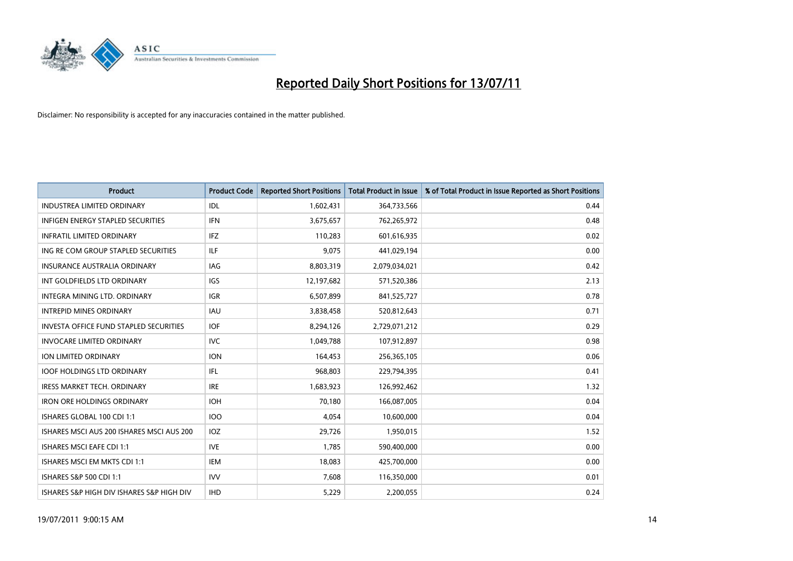

| <b>Product</b>                                | <b>Product Code</b> | <b>Reported Short Positions</b> | Total Product in Issue | % of Total Product in Issue Reported as Short Positions |
|-----------------------------------------------|---------------------|---------------------------------|------------------------|---------------------------------------------------------|
| <b>INDUSTREA LIMITED ORDINARY</b>             | IDL                 | 1,602,431                       | 364,733,566            | 0.44                                                    |
| INFIGEN ENERGY STAPLED SECURITIES             | <b>IFN</b>          | 3,675,657                       | 762,265,972            | 0.48                                                    |
| <b>INFRATIL LIMITED ORDINARY</b>              | IFZ                 | 110,283                         | 601,616,935            | 0.02                                                    |
| ING RE COM GROUP STAPLED SECURITIES           | <b>ILF</b>          | 9,075                           | 441,029,194            | 0.00                                                    |
| <b>INSURANCE AUSTRALIA ORDINARY</b>           | IAG                 | 8,803,319                       | 2,079,034,021          | 0.42                                                    |
| INT GOLDFIELDS LTD ORDINARY                   | <b>IGS</b>          | 12,197,682                      | 571,520,386            | 2.13                                                    |
| INTEGRA MINING LTD, ORDINARY                  | <b>IGR</b>          | 6,507,899                       | 841,525,727            | 0.78                                                    |
| <b>INTREPID MINES ORDINARY</b>                | <b>IAU</b>          | 3,838,458                       | 520,812,643            | 0.71                                                    |
| <b>INVESTA OFFICE FUND STAPLED SECURITIES</b> | <b>IOF</b>          | 8,294,126                       | 2,729,071,212          | 0.29                                                    |
| <b>INVOCARE LIMITED ORDINARY</b>              | <b>IVC</b>          | 1,049,788                       | 107,912,897            | 0.98                                                    |
| ION LIMITED ORDINARY                          | <b>ION</b>          | 164,453                         | 256,365,105            | 0.06                                                    |
| <b>IOOF HOLDINGS LTD ORDINARY</b>             | IFL.                | 968,803                         | 229,794,395            | 0.41                                                    |
| <b>IRESS MARKET TECH. ORDINARY</b>            | <b>IRE</b>          | 1,683,923                       | 126,992,462            | 1.32                                                    |
| <b>IRON ORE HOLDINGS ORDINARY</b>             | <b>IOH</b>          | 70,180                          | 166,087,005            | 0.04                                                    |
| ISHARES GLOBAL 100 CDI 1:1                    | <b>IOO</b>          | 4,054                           | 10,600,000             | 0.04                                                    |
| ISHARES MSCI AUS 200 ISHARES MSCI AUS 200     | IOZ                 | 29,726                          | 1,950,015              | 1.52                                                    |
| <b>ISHARES MSCI EAFE CDI 1:1</b>              | <b>IVE</b>          | 1,785                           | 590,400,000            | 0.00                                                    |
| ISHARES MSCI EM MKTS CDI 1:1                  | <b>IEM</b>          | 18,083                          | 425,700,000            | 0.00                                                    |
| ISHARES S&P 500 CDI 1:1                       | <b>IVV</b>          | 7,608                           | 116,350,000            | 0.01                                                    |
| ISHARES S&P HIGH DIV ISHARES S&P HIGH DIV     | <b>IHD</b>          | 5,229                           | 2,200,055              | 0.24                                                    |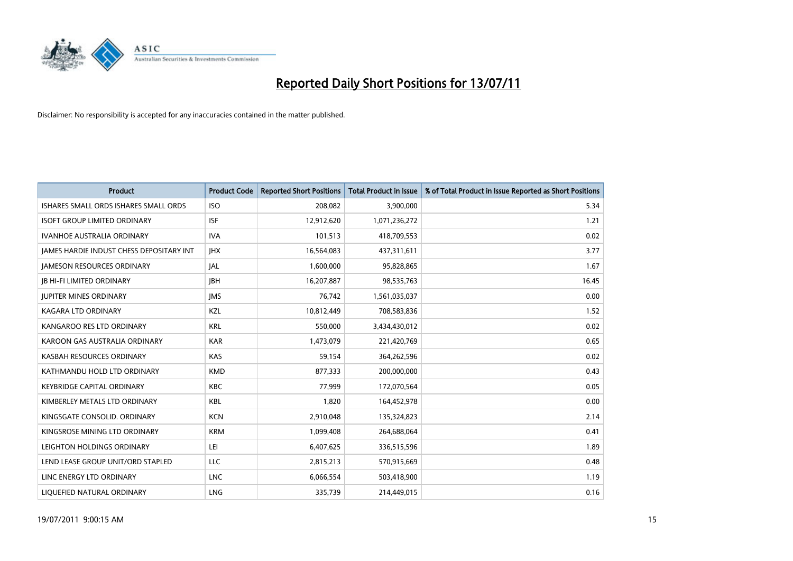

| <b>Product</b>                           | <b>Product Code</b> | <b>Reported Short Positions</b> | Total Product in Issue | % of Total Product in Issue Reported as Short Positions |
|------------------------------------------|---------------------|---------------------------------|------------------------|---------------------------------------------------------|
| ISHARES SMALL ORDS ISHARES SMALL ORDS    | <b>ISO</b>          | 208,082                         | 3,900,000              | 5.34                                                    |
| <b>ISOFT GROUP LIMITED ORDINARY</b>      | <b>ISF</b>          | 12,912,620                      | 1,071,236,272          | 1.21                                                    |
| <b>IVANHOE AUSTRALIA ORDINARY</b>        | <b>IVA</b>          | 101,513                         | 418,709,553            | 0.02                                                    |
| JAMES HARDIE INDUST CHESS DEPOSITARY INT | <b>IHX</b>          | 16,564,083                      | 437,311,611            | 3.77                                                    |
| <b>IAMESON RESOURCES ORDINARY</b>        | <b>JAL</b>          | 1,600,000                       | 95,828,865             | 1.67                                                    |
| <b>JB HI-FI LIMITED ORDINARY</b>         | <b>IBH</b>          | 16,207,887                      | 98,535,763             | 16.45                                                   |
| <b>JUPITER MINES ORDINARY</b>            | <b>IMS</b>          | 76,742                          | 1,561,035,037          | 0.00                                                    |
| KAGARA LTD ORDINARY                      | KZL                 | 10,812,449                      | 708,583,836            | 1.52                                                    |
| KANGAROO RES LTD ORDINARY                | <b>KRL</b>          | 550,000                         | 3,434,430,012          | 0.02                                                    |
| KAROON GAS AUSTRALIA ORDINARY            | <b>KAR</b>          | 1,473,079                       | 221,420,769            | 0.65                                                    |
| KASBAH RESOURCES ORDINARY                | <b>KAS</b>          | 59,154                          | 364,262,596            | 0.02                                                    |
| KATHMANDU HOLD LTD ORDINARY              | <b>KMD</b>          | 877,333                         | 200,000,000            | 0.43                                                    |
| <b>KEYBRIDGE CAPITAL ORDINARY</b>        | <b>KBC</b>          | 77,999                          | 172,070,564            | 0.05                                                    |
| KIMBERLEY METALS LTD ORDINARY            | <b>KBL</b>          | 1,820                           | 164,452,978            | 0.00                                                    |
| KINGSGATE CONSOLID. ORDINARY             | <b>KCN</b>          | 2,910,048                       | 135,324,823            | 2.14                                                    |
| KINGSROSE MINING LTD ORDINARY            | <b>KRM</b>          | 1,099,408                       | 264,688,064            | 0.41                                                    |
| LEIGHTON HOLDINGS ORDINARY               | LEI                 | 6,407,625                       | 336,515,596            | 1.89                                                    |
| LEND LEASE GROUP UNIT/ORD STAPLED        | LLC                 | 2,815,213                       | 570,915,669            | 0.48                                                    |
| LINC ENERGY LTD ORDINARY                 | <b>LNC</b>          | 6,066,554                       | 503,418,900            | 1.19                                                    |
| LIQUEFIED NATURAL ORDINARY               | LNG                 | 335,739                         | 214,449,015            | 0.16                                                    |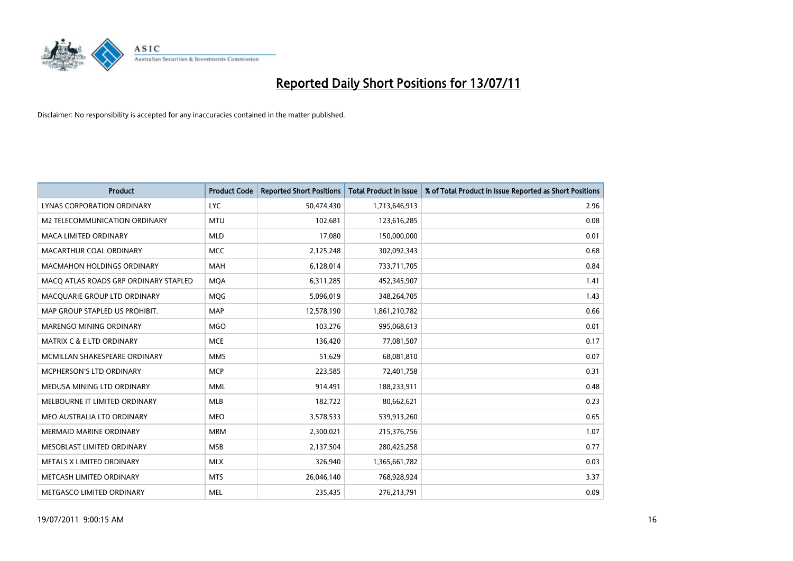

| <b>Product</b>                        | <b>Product Code</b> | <b>Reported Short Positions</b> | <b>Total Product in Issue</b> | % of Total Product in Issue Reported as Short Positions |
|---------------------------------------|---------------------|---------------------------------|-------------------------------|---------------------------------------------------------|
| LYNAS CORPORATION ORDINARY            | <b>LYC</b>          | 50,474,430                      | 1,713,646,913                 | 2.96                                                    |
| M2 TELECOMMUNICATION ORDINARY         | <b>MTU</b>          | 102,681                         | 123,616,285                   | 0.08                                                    |
| <b>MACA LIMITED ORDINARY</b>          | <b>MLD</b>          | 17.080                          | 150,000,000                   | 0.01                                                    |
| MACARTHUR COAL ORDINARY               | <b>MCC</b>          | 2,125,248                       | 302,092,343                   | 0.68                                                    |
| <b>MACMAHON HOLDINGS ORDINARY</b>     | <b>MAH</b>          | 6,128,014                       | 733,711,705                   | 0.84                                                    |
| MACQ ATLAS ROADS GRP ORDINARY STAPLED | <b>MOA</b>          | 6,311,285                       | 452,345,907                   | 1.41                                                    |
| MACQUARIE GROUP LTD ORDINARY          | <b>MOG</b>          | 5,096,019                       | 348,264,705                   | 1.43                                                    |
| MAP GROUP STAPLED US PROHIBIT.        | <b>MAP</b>          | 12,578,190                      | 1,861,210,782                 | 0.66                                                    |
| MARENGO MINING ORDINARY               | <b>MGO</b>          | 103,276                         | 995,068,613                   | 0.01                                                    |
| <b>MATRIX C &amp; E LTD ORDINARY</b>  | <b>MCE</b>          | 136,420                         | 77,081,507                    | 0.17                                                    |
| MCMILLAN SHAKESPEARE ORDINARY         | <b>MMS</b>          | 51,629                          | 68,081,810                    | 0.07                                                    |
| MCPHERSON'S LTD ORDINARY              | <b>MCP</b>          | 223,585                         | 72,401,758                    | 0.31                                                    |
| MEDUSA MINING LTD ORDINARY            | <b>MML</b>          | 914,491                         | 188,233,911                   | 0.48                                                    |
| MELBOURNE IT LIMITED ORDINARY         | MLB                 | 182,722                         | 80,662,621                    | 0.23                                                    |
| MEO AUSTRALIA LTD ORDINARY            | <b>MEO</b>          | 3,578,533                       | 539,913,260                   | 0.65                                                    |
| <b>MERMAID MARINE ORDINARY</b>        | <b>MRM</b>          | 2,300,021                       | 215,376,756                   | 1.07                                                    |
| MESOBLAST LIMITED ORDINARY            | <b>MSB</b>          | 2,137,504                       | 280,425,258                   | 0.77                                                    |
| METALS X LIMITED ORDINARY             | <b>MLX</b>          | 326,940                         | 1,365,661,782                 | 0.03                                                    |
| METCASH LIMITED ORDINARY              | <b>MTS</b>          | 26,046,140                      | 768,928,924                   | 3.37                                                    |
| METGASCO LIMITED ORDINARY             | <b>MEL</b>          | 235,435                         | 276,213,791                   | 0.09                                                    |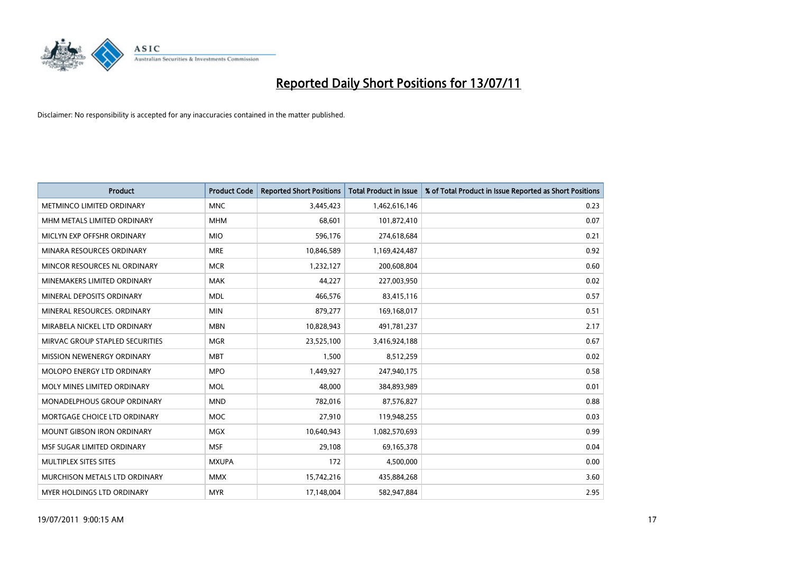

| <b>Product</b>                     | <b>Product Code</b> | <b>Reported Short Positions</b> | <b>Total Product in Issue</b> | % of Total Product in Issue Reported as Short Positions |
|------------------------------------|---------------------|---------------------------------|-------------------------------|---------------------------------------------------------|
| METMINCO LIMITED ORDINARY          | <b>MNC</b>          | 3,445,423                       | 1,462,616,146                 | 0.23                                                    |
| MHM METALS LIMITED ORDINARY        | <b>MHM</b>          | 68,601                          | 101,872,410                   | 0.07                                                    |
| MICLYN EXP OFFSHR ORDINARY         | <b>MIO</b>          | 596,176                         | 274,618,684                   | 0.21                                                    |
| MINARA RESOURCES ORDINARY          | <b>MRE</b>          | 10,846,589                      | 1,169,424,487                 | 0.92                                                    |
| MINCOR RESOURCES NL ORDINARY       | <b>MCR</b>          | 1,232,127                       | 200,608,804                   | 0.60                                                    |
| MINEMAKERS LIMITED ORDINARY        | <b>MAK</b>          | 44,227                          | 227,003,950                   | 0.02                                                    |
| MINERAL DEPOSITS ORDINARY          | <b>MDL</b>          | 466,576                         | 83,415,116                    | 0.57                                                    |
| MINERAL RESOURCES. ORDINARY        | <b>MIN</b>          | 879,277                         | 169,168,017                   | 0.51                                                    |
| MIRABELA NICKEL LTD ORDINARY       | <b>MBN</b>          | 10,828,943                      | 491,781,237                   | 2.17                                                    |
| MIRVAC GROUP STAPLED SECURITIES    | <b>MGR</b>          | 23,525,100                      | 3,416,924,188                 | 0.67                                                    |
| MISSION NEWENERGY ORDINARY         | <b>MBT</b>          | 1,500                           | 8,512,259                     | 0.02                                                    |
| <b>MOLOPO ENERGY LTD ORDINARY</b>  | <b>MPO</b>          | 1,449,927                       | 247,940,175                   | 0.58                                                    |
| MOLY MINES LIMITED ORDINARY        | <b>MOL</b>          | 48,000                          | 384,893,989                   | 0.01                                                    |
| <b>MONADELPHOUS GROUP ORDINARY</b> | <b>MND</b>          | 782,016                         | 87,576,827                    | 0.88                                                    |
| MORTGAGE CHOICE LTD ORDINARY       | <b>MOC</b>          | 27,910                          | 119,948,255                   | 0.03                                                    |
| MOUNT GIBSON IRON ORDINARY         | <b>MGX</b>          | 10,640,943                      | 1,082,570,693                 | 0.99                                                    |
| MSF SUGAR LIMITED ORDINARY         | <b>MSF</b>          | 29,108                          | 69,165,378                    | 0.04                                                    |
| MULTIPLEX SITES SITES              | <b>MXUPA</b>        | 172                             | 4,500,000                     | 0.00                                                    |
| MURCHISON METALS LTD ORDINARY      | <b>MMX</b>          | 15,742,216                      | 435,884,268                   | 3.60                                                    |
| <b>MYER HOLDINGS LTD ORDINARY</b>  | <b>MYR</b>          | 17,148,004                      | 582,947,884                   | 2.95                                                    |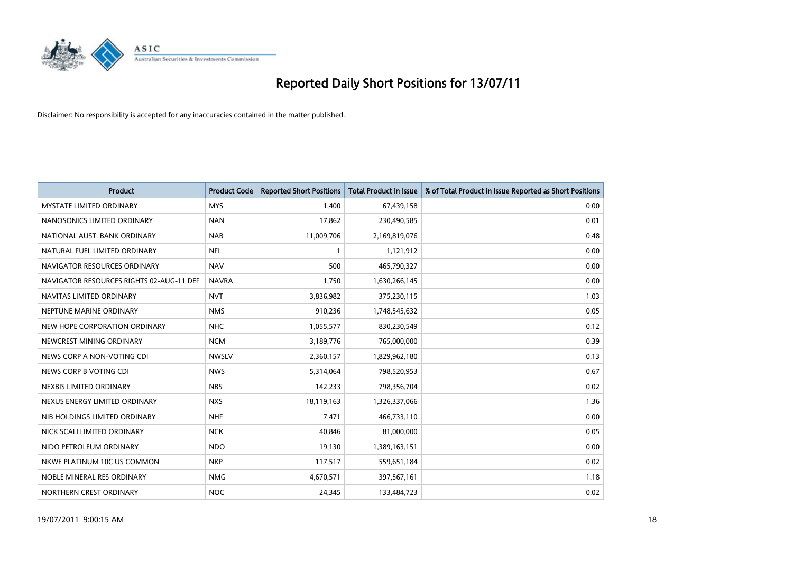

| <b>Product</b>                           | <b>Product Code</b> | <b>Reported Short Positions</b> | <b>Total Product in Issue</b> | % of Total Product in Issue Reported as Short Positions |
|------------------------------------------|---------------------|---------------------------------|-------------------------------|---------------------------------------------------------|
| <b>MYSTATE LIMITED ORDINARY</b>          | <b>MYS</b>          | 1.400                           | 67,439,158                    | 0.00                                                    |
| NANOSONICS LIMITED ORDINARY              | <b>NAN</b>          | 17,862                          | 230,490,585                   | 0.01                                                    |
| NATIONAL AUST. BANK ORDINARY             | <b>NAB</b>          | 11,009,706                      | 2,169,819,076                 | 0.48                                                    |
| NATURAL FUEL LIMITED ORDINARY            | <b>NFL</b>          | $\mathbf{1}$                    | 1,121,912                     | 0.00                                                    |
| NAVIGATOR RESOURCES ORDINARY             | <b>NAV</b>          | 500                             | 465,790,327                   | 0.00                                                    |
| NAVIGATOR RESOURCES RIGHTS 02-AUG-11 DEF | <b>NAVRA</b>        | 1,750                           | 1,630,266,145                 | 0.00                                                    |
| NAVITAS LIMITED ORDINARY                 | <b>NVT</b>          | 3,836,982                       | 375,230,115                   | 1.03                                                    |
| NEPTUNE MARINE ORDINARY                  | <b>NMS</b>          | 910,236                         | 1,748,545,632                 | 0.05                                                    |
| NEW HOPE CORPORATION ORDINARY            | <b>NHC</b>          | 1,055,577                       | 830,230,549                   | 0.12                                                    |
| NEWCREST MINING ORDINARY                 | <b>NCM</b>          | 3,189,776                       | 765,000,000                   | 0.39                                                    |
| NEWS CORP A NON-VOTING CDI               | <b>NWSLV</b>        | 2,360,157                       | 1,829,962,180                 | 0.13                                                    |
| NEWS CORP B VOTING CDI                   | <b>NWS</b>          | 5,314,064                       | 798,520,953                   | 0.67                                                    |
| NEXBIS LIMITED ORDINARY                  | <b>NBS</b>          | 142,233                         | 798,356,704                   | 0.02                                                    |
| NEXUS ENERGY LIMITED ORDINARY            | <b>NXS</b>          | 18,119,163                      | 1,326,337,066                 | 1.36                                                    |
| NIB HOLDINGS LIMITED ORDINARY            | <b>NHF</b>          | 7.471                           | 466,733,110                   | 0.00                                                    |
| NICK SCALI LIMITED ORDINARY              | <b>NCK</b>          | 40,846                          | 81,000,000                    | 0.05                                                    |
| NIDO PETROLEUM ORDINARY                  | <b>NDO</b>          | 19,130                          | 1,389,163,151                 | 0.00                                                    |
| NKWE PLATINUM 10C US COMMON              | <b>NKP</b>          | 117,517                         | 559,651,184                   | 0.02                                                    |
| NOBLE MINERAL RES ORDINARY               | <b>NMG</b>          | 4,670,571                       | 397,567,161                   | 1.18                                                    |
| NORTHERN CREST ORDINARY                  | <b>NOC</b>          | 24,345                          | 133,484,723                   | 0.02                                                    |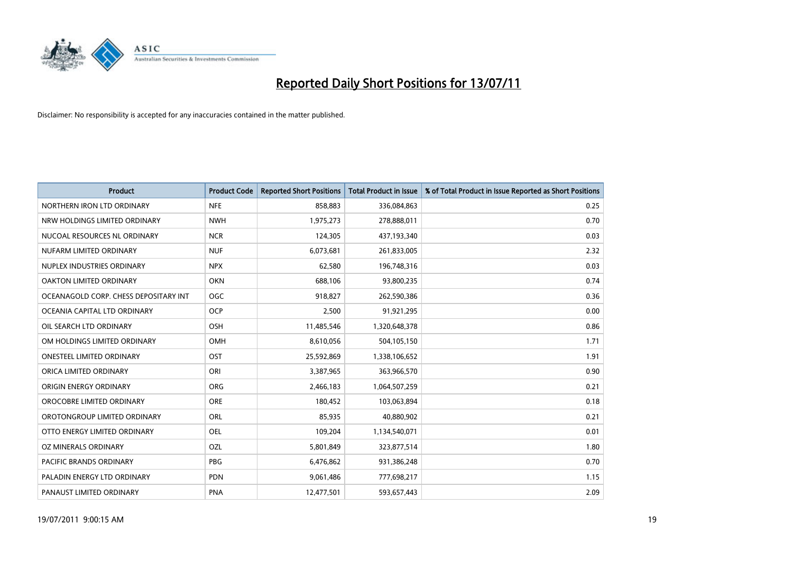

| <b>Product</b>                        | <b>Product Code</b> | <b>Reported Short Positions</b> | <b>Total Product in Issue</b> | % of Total Product in Issue Reported as Short Positions |
|---------------------------------------|---------------------|---------------------------------|-------------------------------|---------------------------------------------------------|
| NORTHERN IRON LTD ORDINARY            | <b>NFE</b>          | 858.883                         | 336,084,863                   | 0.25                                                    |
| NRW HOLDINGS LIMITED ORDINARY         | <b>NWH</b>          | 1,975,273                       | 278,888,011                   | 0.70                                                    |
| NUCOAL RESOURCES NL ORDINARY          | <b>NCR</b>          | 124,305                         | 437,193,340                   | 0.03                                                    |
| NUFARM LIMITED ORDINARY               | <b>NUF</b>          | 6,073,681                       | 261,833,005                   | 2.32                                                    |
| NUPLEX INDUSTRIES ORDINARY            | <b>NPX</b>          | 62,580                          | 196,748,316                   | 0.03                                                    |
| OAKTON LIMITED ORDINARY               | <b>OKN</b>          | 688,106                         | 93,800,235                    | 0.74                                                    |
| OCEANAGOLD CORP. CHESS DEPOSITARY INT | OGC                 | 918,827                         | 262,590,386                   | 0.36                                                    |
| OCEANIA CAPITAL LTD ORDINARY          | <b>OCP</b>          | 2,500                           | 91,921,295                    | 0.00                                                    |
| OIL SEARCH LTD ORDINARY               | <b>OSH</b>          | 11,485,546                      | 1,320,648,378                 | 0.86                                                    |
| OM HOLDINGS LIMITED ORDINARY          | <b>OMH</b>          | 8,610,056                       | 504,105,150                   | 1.71                                                    |
| <b>ONESTEEL LIMITED ORDINARY</b>      | OST                 | 25,592,869                      | 1,338,106,652                 | 1.91                                                    |
| ORICA LIMITED ORDINARY                | ORI                 | 3,387,965                       | 363,966,570                   | 0.90                                                    |
| ORIGIN ENERGY ORDINARY                | <b>ORG</b>          | 2,466,183                       | 1,064,507,259                 | 0.21                                                    |
| OROCOBRE LIMITED ORDINARY             | <b>ORE</b>          | 180,452                         | 103,063,894                   | 0.18                                                    |
| OROTONGROUP LIMITED ORDINARY          | <b>ORL</b>          | 85.935                          | 40,880,902                    | 0.21                                                    |
| OTTO ENERGY LIMITED ORDINARY          | <b>OEL</b>          | 109,204                         | 1,134,540,071                 | 0.01                                                    |
| OZ MINERALS ORDINARY                  | OZL                 | 5,801,849                       | 323,877,514                   | 1.80                                                    |
| <b>PACIFIC BRANDS ORDINARY</b>        | <b>PBG</b>          | 6,476,862                       | 931,386,248                   | 0.70                                                    |
| PALADIN ENERGY LTD ORDINARY           | <b>PDN</b>          | 9,061,486                       | 777,698,217                   | 1.15                                                    |
| PANAUST LIMITED ORDINARY              | <b>PNA</b>          | 12,477,501                      | 593,657,443                   | 2.09                                                    |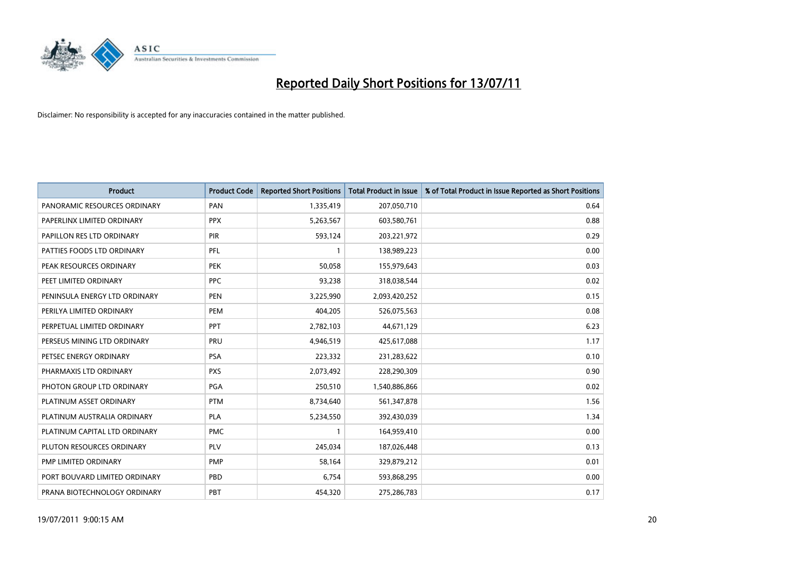

| <b>Product</b>                | <b>Product Code</b> | <b>Reported Short Positions</b> | <b>Total Product in Issue</b> | % of Total Product in Issue Reported as Short Positions |
|-------------------------------|---------------------|---------------------------------|-------------------------------|---------------------------------------------------------|
| PANORAMIC RESOURCES ORDINARY  | PAN                 | 1,335,419                       | 207,050,710                   | 0.64                                                    |
| PAPERLINX LIMITED ORDINARY    | <b>PPX</b>          | 5,263,567                       | 603,580,761                   | 0.88                                                    |
| PAPILLON RES LTD ORDINARY     | PIR                 | 593,124                         | 203,221,972                   | 0.29                                                    |
| PATTIES FOODS LTD ORDINARY    | PFL                 |                                 | 138,989,223                   | 0.00                                                    |
| PEAK RESOURCES ORDINARY       | <b>PEK</b>          | 50,058                          | 155,979,643                   | 0.03                                                    |
| PEET LIMITED ORDINARY         | <b>PPC</b>          | 93,238                          | 318,038,544                   | 0.02                                                    |
| PENINSULA ENERGY LTD ORDINARY | <b>PEN</b>          | 3,225,990                       | 2,093,420,252                 | 0.15                                                    |
| PERILYA LIMITED ORDINARY      | PEM                 | 404,205                         | 526,075,563                   | 0.08                                                    |
| PERPETUAL LIMITED ORDINARY    | PPT                 | 2,782,103                       | 44,671,129                    | 6.23                                                    |
| PERSEUS MINING LTD ORDINARY   | PRU                 | 4,946,519                       | 425,617,088                   | 1.17                                                    |
| PETSEC ENERGY ORDINARY        | <b>PSA</b>          | 223,332                         | 231,283,622                   | 0.10                                                    |
| PHARMAXIS LTD ORDINARY        | <b>PXS</b>          | 2,073,492                       | 228,290,309                   | 0.90                                                    |
| PHOTON GROUP LTD ORDINARY     | PGA                 | 250,510                         | 1,540,886,866                 | 0.02                                                    |
| PLATINUM ASSET ORDINARY       | <b>PTM</b>          | 8,734,640                       | 561,347,878                   | 1.56                                                    |
| PLATINUM AUSTRALIA ORDINARY   | <b>PLA</b>          | 5,234,550                       | 392,430,039                   | 1.34                                                    |
| PLATINUM CAPITAL LTD ORDINARY | <b>PMC</b>          |                                 | 164,959,410                   | 0.00                                                    |
| PLUTON RESOURCES ORDINARY     | PLV                 | 245,034                         | 187,026,448                   | 0.13                                                    |
| PMP LIMITED ORDINARY          | <b>PMP</b>          | 58,164                          | 329,879,212                   | 0.01                                                    |
| PORT BOUVARD LIMITED ORDINARY | PBD                 | 6,754                           | 593,868,295                   | 0.00                                                    |
| PRANA BIOTECHNOLOGY ORDINARY  | PBT                 | 454,320                         | 275,286,783                   | 0.17                                                    |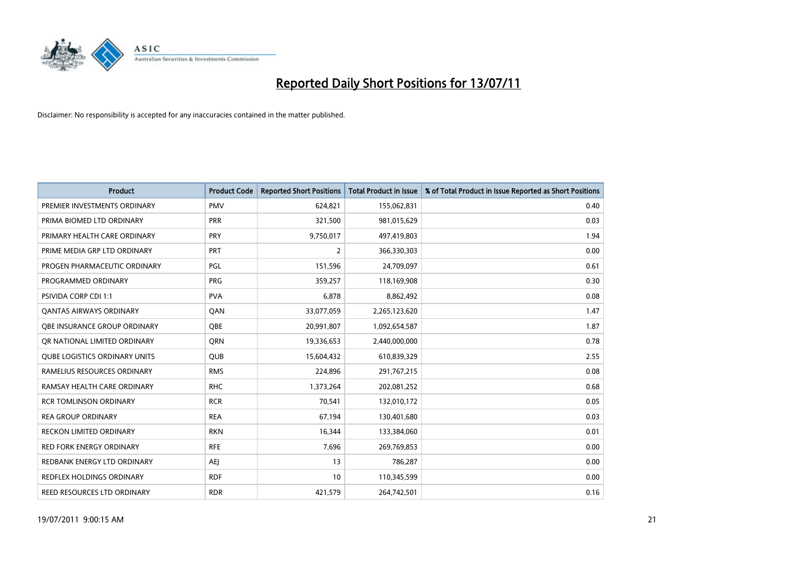

| <b>Product</b>                       | <b>Product Code</b> | <b>Reported Short Positions</b> | <b>Total Product in Issue</b> | % of Total Product in Issue Reported as Short Positions |
|--------------------------------------|---------------------|---------------------------------|-------------------------------|---------------------------------------------------------|
| PREMIER INVESTMENTS ORDINARY         | <b>PMV</b>          | 624,821                         | 155,062,831                   | 0.40                                                    |
| PRIMA BIOMED LTD ORDINARY            | <b>PRR</b>          | 321,500                         | 981,015,629                   | 0.03                                                    |
| PRIMARY HEALTH CARE ORDINARY         | PRY                 | 9,750,017                       | 497,419,803                   | 1.94                                                    |
| PRIME MEDIA GRP LTD ORDINARY         | <b>PRT</b>          | $\overline{2}$                  | 366,330,303                   | 0.00                                                    |
| PROGEN PHARMACEUTIC ORDINARY         | PGL                 | 151,596                         | 24,709,097                    | 0.61                                                    |
| PROGRAMMED ORDINARY                  | <b>PRG</b>          | 359,257                         | 118,169,908                   | 0.30                                                    |
| PSIVIDA CORP CDI 1:1                 | <b>PVA</b>          | 6,878                           | 8,862,492                     | 0.08                                                    |
| <b>QANTAS AIRWAYS ORDINARY</b>       | QAN                 | 33,077,059                      | 2,265,123,620                 | 1.47                                                    |
| QBE INSURANCE GROUP ORDINARY         | OBE                 | 20,991,807                      | 1,092,654,587                 | 1.87                                                    |
| OR NATIONAL LIMITED ORDINARY         | <b>ORN</b>          | 19,336,653                      | 2,440,000,000                 | 0.78                                                    |
| <b>QUBE LOGISTICS ORDINARY UNITS</b> | <b>QUB</b>          | 15,604,432                      | 610,839,329                   | 2.55                                                    |
| RAMELIUS RESOURCES ORDINARY          | <b>RMS</b>          | 224,896                         | 291,767,215                   | 0.08                                                    |
| RAMSAY HEALTH CARE ORDINARY          | <b>RHC</b>          | 1,373,264                       | 202,081,252                   | 0.68                                                    |
| <b>RCR TOMLINSON ORDINARY</b>        | <b>RCR</b>          | 70,541                          | 132,010,172                   | 0.05                                                    |
| <b>REA GROUP ORDINARY</b>            | <b>REA</b>          | 67,194                          | 130,401,680                   | 0.03                                                    |
| <b>RECKON LIMITED ORDINARY</b>       | <b>RKN</b>          | 16,344                          | 133,384,060                   | 0.01                                                    |
| RED FORK ENERGY ORDINARY             | <b>RFE</b>          | 7,696                           | 269,769,853                   | 0.00                                                    |
| REDBANK ENERGY LTD ORDINARY          | <b>AEI</b>          | 13                              | 786,287                       | 0.00                                                    |
| <b>REDFLEX HOLDINGS ORDINARY</b>     | <b>RDF</b>          | 10                              | 110,345,599                   | 0.00                                                    |
| REED RESOURCES LTD ORDINARY          | <b>RDR</b>          | 421,579                         | 264,742,501                   | 0.16                                                    |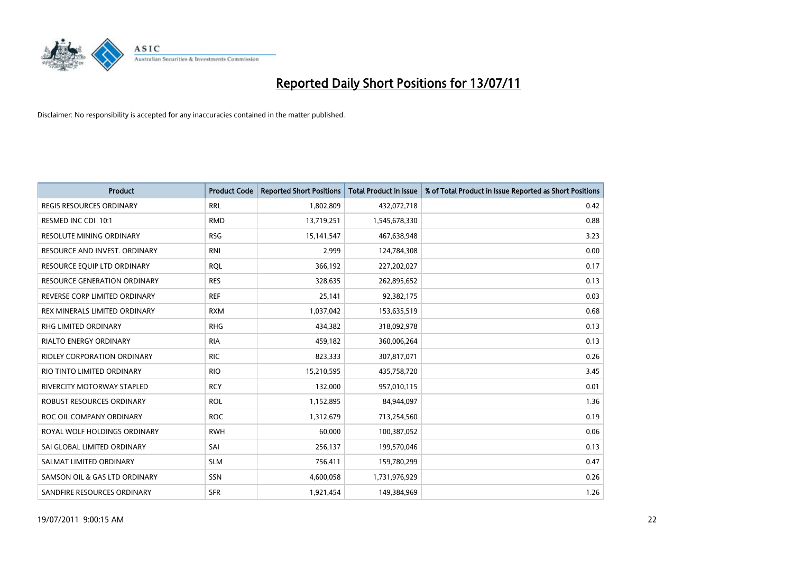

| <b>Product</b>                      | <b>Product Code</b> | <b>Reported Short Positions</b> | <b>Total Product in Issue</b> | % of Total Product in Issue Reported as Short Positions |
|-------------------------------------|---------------------|---------------------------------|-------------------------------|---------------------------------------------------------|
| <b>REGIS RESOURCES ORDINARY</b>     | <b>RRL</b>          | 1,802,809                       | 432,072,718                   | 0.42                                                    |
| RESMED INC CDI 10:1                 | <b>RMD</b>          | 13,719,251                      | 1,545,678,330                 | 0.88                                                    |
| <b>RESOLUTE MINING ORDINARY</b>     | <b>RSG</b>          | 15, 141, 547                    | 467,638,948                   | 3.23                                                    |
| RESOURCE AND INVEST. ORDINARY       | <b>RNI</b>          | 2,999                           | 124,784,308                   | 0.00                                                    |
| RESOURCE EQUIP LTD ORDINARY         | <b>ROL</b>          | 366,192                         | 227,202,027                   | 0.17                                                    |
| <b>RESOURCE GENERATION ORDINARY</b> | <b>RES</b>          | 328,635                         | 262,895,652                   | 0.13                                                    |
| REVERSE CORP LIMITED ORDINARY       | <b>REF</b>          | 25,141                          | 92,382,175                    | 0.03                                                    |
| REX MINERALS LIMITED ORDINARY       | <b>RXM</b>          | 1,037,042                       | 153,635,519                   | 0.68                                                    |
| RHG LIMITED ORDINARY                | <b>RHG</b>          | 434,382                         | 318,092,978                   | 0.13                                                    |
| <b>RIALTO ENERGY ORDINARY</b>       | <b>RIA</b>          | 459,182                         | 360,006,264                   | 0.13                                                    |
| RIDLEY CORPORATION ORDINARY         | <b>RIC</b>          | 823,333                         | 307,817,071                   | 0.26                                                    |
| RIO TINTO LIMITED ORDINARY          | <b>RIO</b>          | 15,210,595                      | 435,758,720                   | 3.45                                                    |
| <b>RIVERCITY MOTORWAY STAPLED</b>   | <b>RCY</b>          | 132,000                         | 957,010,115                   | 0.01                                                    |
| <b>ROBUST RESOURCES ORDINARY</b>    | <b>ROL</b>          | 1,152,895                       | 84,944,097                    | 1.36                                                    |
| ROC OIL COMPANY ORDINARY            | <b>ROC</b>          | 1,312,679                       | 713,254,560                   | 0.19                                                    |
| ROYAL WOLF HOLDINGS ORDINARY        | <b>RWH</b>          | 60,000                          | 100,387,052                   | 0.06                                                    |
| SAI GLOBAL LIMITED ORDINARY         | SAI                 | 256,137                         | 199,570,046                   | 0.13                                                    |
| SALMAT LIMITED ORDINARY             | <b>SLM</b>          | 756,411                         | 159,780,299                   | 0.47                                                    |
| SAMSON OIL & GAS LTD ORDINARY       | SSN                 | 4,600,058                       | 1,731,976,929                 | 0.26                                                    |
| SANDFIRE RESOURCES ORDINARY         | <b>SFR</b>          | 1,921,454                       | 149,384,969                   | 1.26                                                    |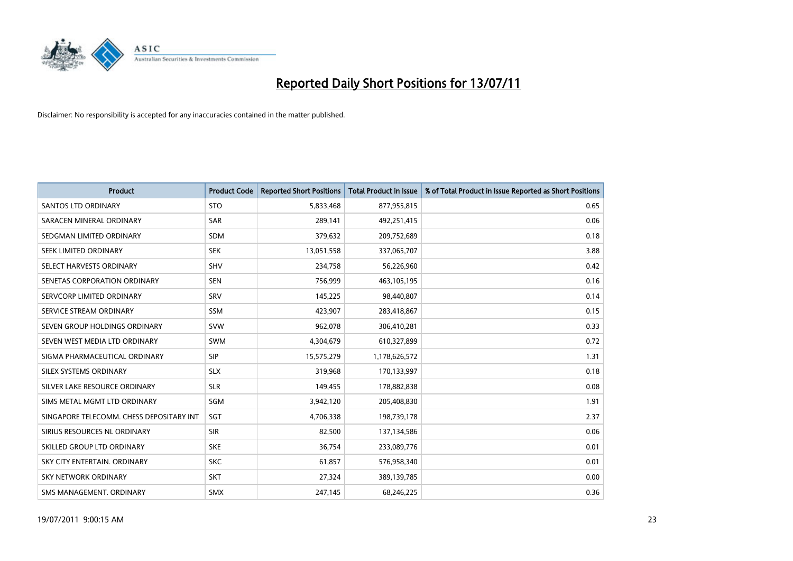

| <b>Product</b>                           | <b>Product Code</b> | <b>Reported Short Positions</b> | Total Product in Issue | % of Total Product in Issue Reported as Short Positions |
|------------------------------------------|---------------------|---------------------------------|------------------------|---------------------------------------------------------|
| <b>SANTOS LTD ORDINARY</b>               | <b>STO</b>          | 5,833,468                       | 877,955,815            | 0.65                                                    |
| SARACEN MINERAL ORDINARY                 | <b>SAR</b>          | 289,141                         | 492,251,415            | 0.06                                                    |
| SEDGMAN LIMITED ORDINARY                 | <b>SDM</b>          | 379,632                         | 209,752,689            | 0.18                                                    |
| SEEK LIMITED ORDINARY                    | <b>SEK</b>          | 13,051,558                      | 337,065,707            | 3.88                                                    |
| SELECT HARVESTS ORDINARY                 | <b>SHV</b>          | 234,758                         | 56,226,960             | 0.42                                                    |
| SENETAS CORPORATION ORDINARY             | <b>SEN</b>          | 756,999                         | 463,105,195            | 0.16                                                    |
| SERVCORP LIMITED ORDINARY                | SRV                 | 145,225                         | 98,440,807             | 0.14                                                    |
| SERVICE STREAM ORDINARY                  | <b>SSM</b>          | 423,907                         | 283,418,867            | 0.15                                                    |
| SEVEN GROUP HOLDINGS ORDINARY            | <b>SVW</b>          | 962,078                         | 306,410,281            | 0.33                                                    |
| SEVEN WEST MEDIA LTD ORDINARY            | <b>SWM</b>          | 4,304,679                       | 610,327,899            | 0.72                                                    |
| SIGMA PHARMACEUTICAL ORDINARY            | <b>SIP</b>          | 15,575,279                      | 1,178,626,572          | 1.31                                                    |
| SILEX SYSTEMS ORDINARY                   | <b>SLX</b>          | 319,968                         | 170,133,997            | 0.18                                                    |
| SILVER LAKE RESOURCE ORDINARY            | <b>SLR</b>          | 149,455                         | 178,882,838            | 0.08                                                    |
| SIMS METAL MGMT LTD ORDINARY             | SGM                 | 3,942,120                       | 205,408,830            | 1.91                                                    |
| SINGAPORE TELECOMM. CHESS DEPOSITARY INT | SGT                 | 4,706,338                       | 198,739,178            | 2.37                                                    |
| SIRIUS RESOURCES NL ORDINARY             | <b>SIR</b>          | 82,500                          | 137,134,586            | 0.06                                                    |
| SKILLED GROUP LTD ORDINARY               | <b>SKE</b>          | 36,754                          | 233,089,776            | 0.01                                                    |
| SKY CITY ENTERTAIN. ORDINARY             | <b>SKC</b>          | 61,857                          | 576,958,340            | 0.01                                                    |
| SKY NETWORK ORDINARY                     | <b>SKT</b>          | 27,324                          | 389,139,785            | 0.00                                                    |
| SMS MANAGEMENT. ORDINARY                 | SMX                 | 247,145                         | 68,246,225             | 0.36                                                    |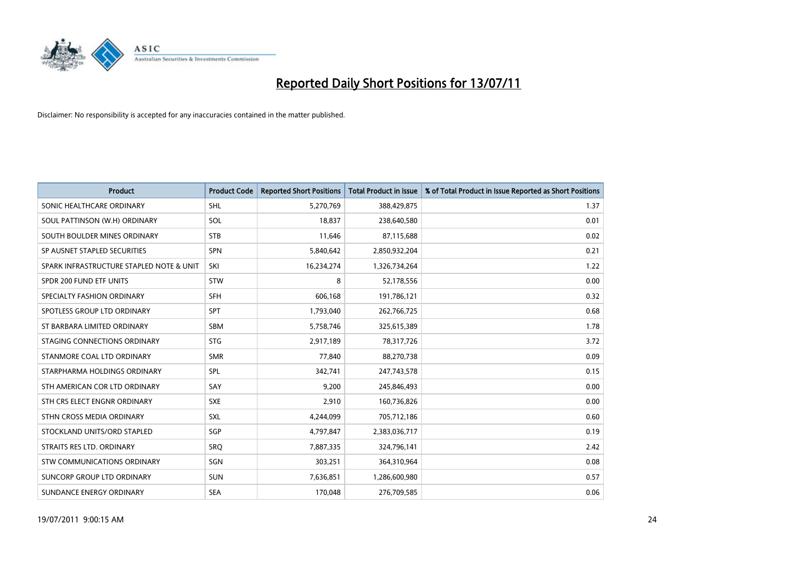

| <b>Product</b>                           | <b>Product Code</b> | <b>Reported Short Positions</b> | Total Product in Issue | % of Total Product in Issue Reported as Short Positions |
|------------------------------------------|---------------------|---------------------------------|------------------------|---------------------------------------------------------|
| SONIC HEALTHCARE ORDINARY                | <b>SHL</b>          | 5,270,769                       | 388,429,875            | 1.37                                                    |
| SOUL PATTINSON (W.H) ORDINARY            | SOL                 | 18,837                          | 238,640,580            | 0.01                                                    |
| SOUTH BOULDER MINES ORDINARY             | <b>STB</b>          | 11,646                          | 87,115,688             | 0.02                                                    |
| SP AUSNET STAPLED SECURITIES             | <b>SPN</b>          | 5,840,642                       | 2,850,932,204          | 0.21                                                    |
| SPARK INFRASTRUCTURE STAPLED NOTE & UNIT | SKI                 | 16,234,274                      | 1,326,734,264          | 1.22                                                    |
| SPDR 200 FUND ETF UNITS                  | STW                 | 8                               | 52,178,556             | 0.00                                                    |
| SPECIALTY FASHION ORDINARY               | <b>SFH</b>          | 606.168                         | 191,786,121            | 0.32                                                    |
| SPOTLESS GROUP LTD ORDINARY              | SPT                 | 1,793,040                       | 262,766,725            | 0.68                                                    |
| ST BARBARA LIMITED ORDINARY              | <b>SBM</b>          | 5,758,746                       | 325,615,389            | 1.78                                                    |
| STAGING CONNECTIONS ORDINARY             | <b>STG</b>          | 2,917,189                       | 78,317,726             | 3.72                                                    |
| STANMORE COAL LTD ORDINARY               | <b>SMR</b>          | 77,840                          | 88,270,738             | 0.09                                                    |
| STARPHARMA HOLDINGS ORDINARY             | SPL                 | 342,741                         | 247,743,578            | 0.15                                                    |
| STH AMERICAN COR LTD ORDINARY            | SAY                 | 9,200                           | 245,846,493            | 0.00                                                    |
| STH CRS ELECT ENGNR ORDINARY             | <b>SXE</b>          | 2,910                           | 160,736,826            | 0.00                                                    |
| STHN CROSS MEDIA ORDINARY                | <b>SXL</b>          | 4,244,099                       | 705,712,186            | 0.60                                                    |
| STOCKLAND UNITS/ORD STAPLED              | SGP                 | 4,797,847                       | 2,383,036,717          | 0.19                                                    |
| STRAITS RES LTD. ORDINARY                | SRQ                 | 7,887,335                       | 324,796,141            | 2.42                                                    |
| <b>STW COMMUNICATIONS ORDINARY</b>       | SGN                 | 303,251                         | 364,310,964            | 0.08                                                    |
| SUNCORP GROUP LTD ORDINARY               | <b>SUN</b>          | 7,636,851                       | 1,286,600,980          | 0.57                                                    |
| SUNDANCE ENERGY ORDINARY                 | <b>SEA</b>          | 170,048                         | 276,709,585            | 0.06                                                    |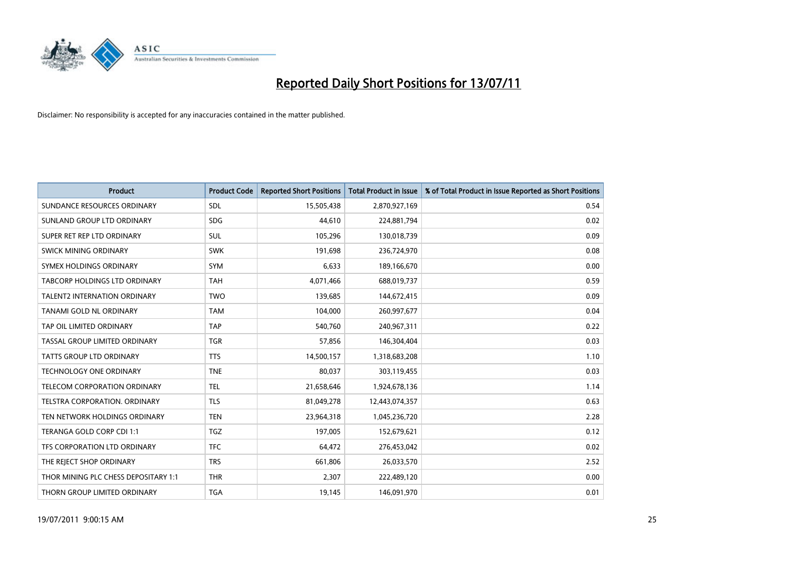

| <b>Product</b>                       | <b>Product Code</b> | <b>Reported Short Positions</b> | Total Product in Issue | % of Total Product in Issue Reported as Short Positions |
|--------------------------------------|---------------------|---------------------------------|------------------------|---------------------------------------------------------|
| SUNDANCE RESOURCES ORDINARY          | SDL                 | 15,505,438                      | 2,870,927,169          | 0.54                                                    |
| SUNLAND GROUP LTD ORDINARY           | <b>SDG</b>          | 44,610                          | 224,881,794            | 0.02                                                    |
| SUPER RET REP LTD ORDINARY           | <b>SUL</b>          | 105,296                         | 130,018,739            | 0.09                                                    |
| SWICK MINING ORDINARY                | <b>SWK</b>          | 191,698                         | 236,724,970            | 0.08                                                    |
| SYMEX HOLDINGS ORDINARY              | <b>SYM</b>          | 6,633                           | 189,166,670            | 0.00                                                    |
| TABCORP HOLDINGS LTD ORDINARY        | <b>TAH</b>          | 4,071,466                       | 688,019,737            | 0.59                                                    |
| <b>TALENT2 INTERNATION ORDINARY</b>  | <b>TWO</b>          | 139,685                         | 144,672,415            | 0.09                                                    |
| TANAMI GOLD NL ORDINARY              | <b>TAM</b>          | 104,000                         | 260,997,677            | 0.04                                                    |
| TAP OIL LIMITED ORDINARY             | <b>TAP</b>          | 540,760                         | 240,967,311            | 0.22                                                    |
| TASSAL GROUP LIMITED ORDINARY        | <b>TGR</b>          | 57,856                          | 146,304,404            | 0.03                                                    |
| <b>TATTS GROUP LTD ORDINARY</b>      | <b>TTS</b>          | 14,500,157                      | 1,318,683,208          | 1.10                                                    |
| <b>TECHNOLOGY ONE ORDINARY</b>       | <b>TNE</b>          | 80,037                          | 303,119,455            | 0.03                                                    |
| TELECOM CORPORATION ORDINARY         | <b>TEL</b>          | 21,658,646                      | 1,924,678,136          | 1.14                                                    |
| <b>TELSTRA CORPORATION, ORDINARY</b> | <b>TLS</b>          | 81,049,278                      | 12,443,074,357         | 0.63                                                    |
| TEN NETWORK HOLDINGS ORDINARY        | <b>TEN</b>          | 23,964,318                      | 1,045,236,720          | 2.28                                                    |
| TERANGA GOLD CORP CDI 1:1            | <b>TGZ</b>          | 197.005                         | 152,679,621            | 0.12                                                    |
| TFS CORPORATION LTD ORDINARY         | <b>TFC</b>          | 64,472                          | 276,453,042            | 0.02                                                    |
| THE REJECT SHOP ORDINARY             | <b>TRS</b>          | 661,806                         | 26,033,570             | 2.52                                                    |
| THOR MINING PLC CHESS DEPOSITARY 1:1 | <b>THR</b>          | 2,307                           | 222,489,120            | 0.00                                                    |
| THORN GROUP LIMITED ORDINARY         | <b>TGA</b>          | 19,145                          | 146,091,970            | 0.01                                                    |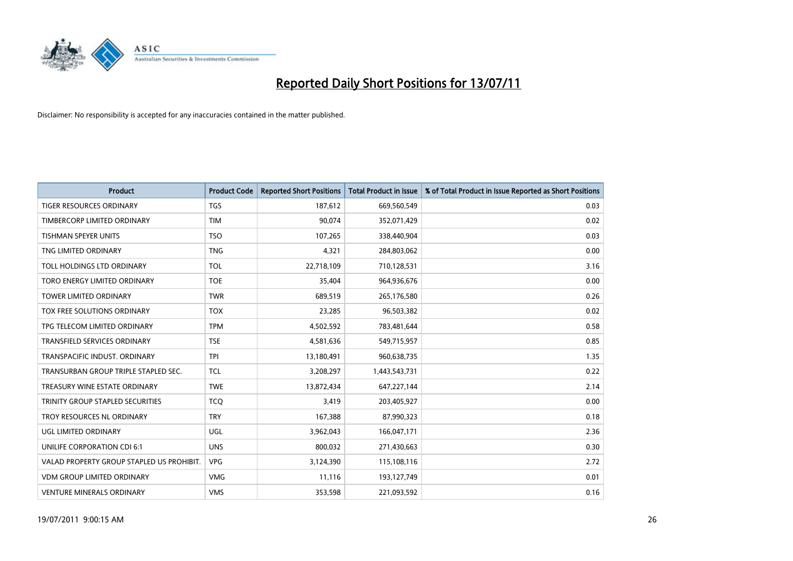

| <b>Product</b>                            | <b>Product Code</b> | <b>Reported Short Positions</b> | <b>Total Product in Issue</b> | % of Total Product in Issue Reported as Short Positions |
|-------------------------------------------|---------------------|---------------------------------|-------------------------------|---------------------------------------------------------|
| <b>TIGER RESOURCES ORDINARY</b>           | <b>TGS</b>          | 187,612                         | 669,560,549                   | 0.03                                                    |
| TIMBERCORP LIMITED ORDINARY               | <b>TIM</b>          | 90,074                          | 352,071,429                   | 0.02                                                    |
| <b>TISHMAN SPEYER UNITS</b>               | <b>TSO</b>          | 107,265                         | 338,440,904                   | 0.03                                                    |
| TNG LIMITED ORDINARY                      | <b>TNG</b>          | 4,321                           | 284,803,062                   | 0.00                                                    |
| TOLL HOLDINGS LTD ORDINARY                | <b>TOL</b>          | 22,718,109                      | 710,128,531                   | 3.16                                                    |
| TORO ENERGY LIMITED ORDINARY              | <b>TOE</b>          | 35,404                          | 964,936,676                   | 0.00                                                    |
| <b>TOWER LIMITED ORDINARY</b>             | <b>TWR</b>          | 689,519                         | 265,176,580                   | 0.26                                                    |
| TOX FREE SOLUTIONS ORDINARY               | <b>TOX</b>          | 23,285                          | 96,503,382                    | 0.02                                                    |
| TPG TELECOM LIMITED ORDINARY              | <b>TPM</b>          | 4,502,592                       | 783,481,644                   | 0.58                                                    |
| <b>TRANSFIELD SERVICES ORDINARY</b>       | <b>TSE</b>          | 4,581,636                       | 549,715,957                   | 0.85                                                    |
| TRANSPACIFIC INDUST. ORDINARY             | <b>TPI</b>          | 13,180,491                      | 960,638,735                   | 1.35                                                    |
| TRANSURBAN GROUP TRIPLE STAPLED SEC.      | <b>TCL</b>          | 3,208,297                       | 1,443,543,731                 | 0.22                                                    |
| TREASURY WINE ESTATE ORDINARY             | <b>TWE</b>          | 13,872,434                      | 647,227,144                   | 2.14                                                    |
| TRINITY GROUP STAPLED SECURITIES          | <b>TCO</b>          | 3,419                           | 203,405,927                   | 0.00                                                    |
| TROY RESOURCES NL ORDINARY                | <b>TRY</b>          | 167,388                         | 87,990,323                    | 0.18                                                    |
| UGL LIMITED ORDINARY                      | UGL                 | 3,962,043                       | 166,047,171                   | 2.36                                                    |
| UNILIFE CORPORATION CDI 6:1               | <b>UNS</b>          | 800,032                         | 271,430,663                   | 0.30                                                    |
| VALAD PROPERTY GROUP STAPLED US PROHIBIT. | <b>VPG</b>          | 3,124,390                       | 115,108,116                   | 2.72                                                    |
| <b>VDM GROUP LIMITED ORDINARY</b>         | <b>VMG</b>          | 11,116                          | 193,127,749                   | 0.01                                                    |
| VENTURE MINERALS ORDINARY                 | <b>VMS</b>          | 353,598                         | 221,093,592                   | 0.16                                                    |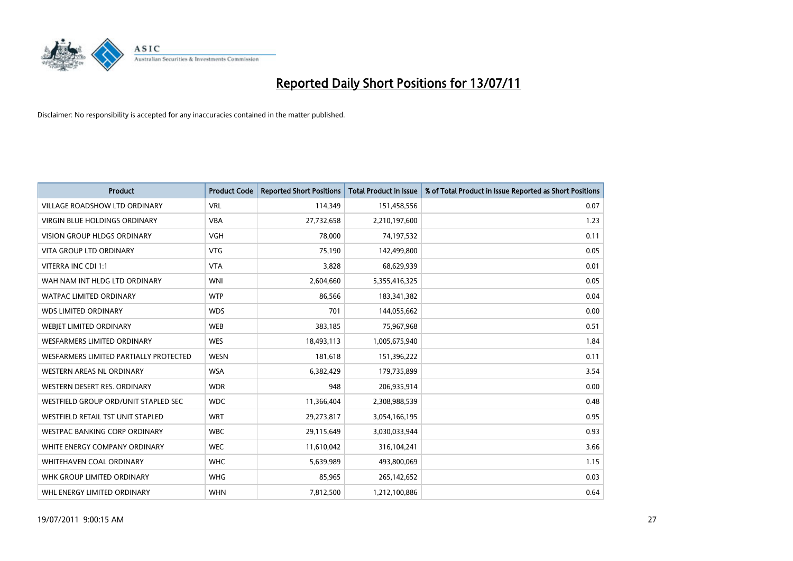

| <b>Product</b>                         | <b>Product Code</b> | <b>Reported Short Positions</b> | <b>Total Product in Issue</b> | % of Total Product in Issue Reported as Short Positions |
|----------------------------------------|---------------------|---------------------------------|-------------------------------|---------------------------------------------------------|
| <b>VILLAGE ROADSHOW LTD ORDINARY</b>   | <b>VRL</b>          | 114,349                         | 151,458,556                   | 0.07                                                    |
| VIRGIN BLUE HOLDINGS ORDINARY          | <b>VBA</b>          | 27,732,658                      | 2,210,197,600                 | 1.23                                                    |
| <b>VISION GROUP HLDGS ORDINARY</b>     | <b>VGH</b>          | 78,000                          | 74,197,532                    | 0.11                                                    |
| <b>VITA GROUP LTD ORDINARY</b>         | <b>VTG</b>          | 75,190                          | 142,499,800                   | 0.05                                                    |
| VITERRA INC CDI 1:1                    | <b>VTA</b>          | 3,828                           | 68,629,939                    | 0.01                                                    |
| WAH NAM INT HLDG LTD ORDINARY          | <b>WNI</b>          | 2,604,660                       | 5,355,416,325                 | 0.05                                                    |
| <b>WATPAC LIMITED ORDINARY</b>         | <b>WTP</b>          | 86,566                          | 183,341,382                   | 0.04                                                    |
| <b>WDS LIMITED ORDINARY</b>            | <b>WDS</b>          | 701                             | 144,055,662                   | 0.00                                                    |
| WEBIET LIMITED ORDINARY                | <b>WEB</b>          | 383,185                         | 75,967,968                    | 0.51                                                    |
| <b>WESFARMERS LIMITED ORDINARY</b>     | <b>WES</b>          | 18,493,113                      | 1,005,675,940                 | 1.84                                                    |
| WESFARMERS LIMITED PARTIALLY PROTECTED | <b>WESN</b>         | 181,618                         | 151,396,222                   | 0.11                                                    |
| WESTERN AREAS NL ORDINARY              | <b>WSA</b>          | 6,382,429                       | 179,735,899                   | 3.54                                                    |
| WESTERN DESERT RES. ORDINARY           | <b>WDR</b>          | 948                             | 206,935,914                   | 0.00                                                    |
| WESTFIELD GROUP ORD/UNIT STAPLED SEC   | <b>WDC</b>          | 11,366,404                      | 2,308,988,539                 | 0.48                                                    |
| WESTFIELD RETAIL TST UNIT STAPLED      | <b>WRT</b>          | 29,273,817                      | 3,054,166,195                 | 0.95                                                    |
| <b>WESTPAC BANKING CORP ORDINARY</b>   | <b>WBC</b>          | 29,115,649                      | 3,030,033,944                 | 0.93                                                    |
| WHITE ENERGY COMPANY ORDINARY          | <b>WEC</b>          | 11,610,042                      | 316,104,241                   | 3.66                                                    |
| <b>WHITEHAVEN COAL ORDINARY</b>        | <b>WHC</b>          | 5,639,989                       | 493,800,069                   | 1.15                                                    |
| WHK GROUP LIMITED ORDINARY             | <b>WHG</b>          | 85,965                          | 265,142,652                   | 0.03                                                    |
| WHL ENERGY LIMITED ORDINARY            | <b>WHN</b>          | 7,812,500                       | 1,212,100,886                 | 0.64                                                    |